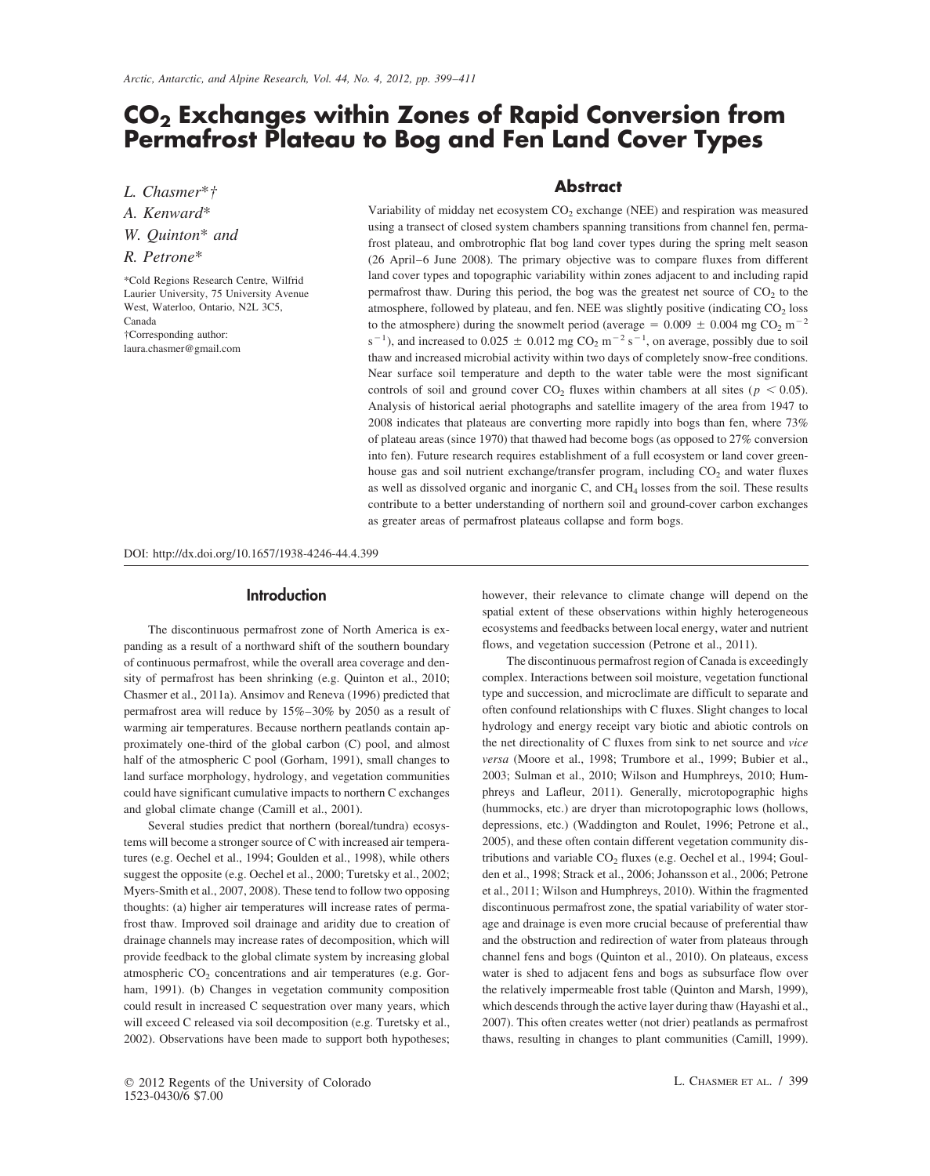# **CO2 Exchanges within Zones of Rapid Conversion from Permafrost Plateau to Bog and Fen Land Cover Types**

*L. Chasmer* **Abstract** \**†*

†Corresponding author:<br>laura.chasmer@gmail.com

*A. Kenward*<sup>\*</sup><br>Variability of midday net ecosystem CO<sub>2</sub> exchange (NEE) and respiration was measured<br>using a transect of closed system chambers spanning transitions from channel fen, perma-W. Quinton<sup>\*</sup> and<br>
frost plateau, and ombrotrophic flat bog land cover types during the spring melt season<br> *R. Petrone*<sup>\*</sup> (26 April–6 June 2008). The primary objective was to compare fluxes from different (26 April–6 June 2008). The primary objective was to compare fluxes from different land cover types and topographic variability within zones adjacent to and including rapid \*Cold Regions Research Centre, Wilfrid Laurier University, 75 University Avenue permafrost thaw. During this period, the bog was the greatest net source of  $CO<sub>2</sub>$  to the West, Waterloo, Ontario, N2L 3C5, atmosphere, followed by plateau, and fen. NEE was slightly positive (indicating CO<sub>2</sub> loss Canada)<br>Canada to the struggenhere) during the appurent ported (overseq = 0.000 + 0.004 mg CO<sub>2</sub> Canada to the atmosphere) during the snowmelt period (average =  $0.009 \pm 0.004$  mg CO<sub>2</sub> m<sup>-2</sup>  $s^{-1}$ ), and increased to 0.025  $\pm$  0.012 mg CO<sub>2</sub> m<sup>-2</sup> s<sup>-1</sup>, on average, possibly due to soil thaw and increased microbial activity within two days of completely snow-free conditions. Near surface soil temperature and depth to the water table were the most significant controls of soil and ground cover  $CO_2$  fluxes within chambers at all sites ( $p < 0.05$ ). Analysis of historical aerial photographs and satellite imagery of the area from 1947 to 2008 indicates that plateaus are converting more rapidly into bogs than fen, where 73% of plateau areas (since 1970) that thawed had become bogs (as opposed to 27% conversion into fen). Future research requires establishment of a full ecosystem or land cover greenhouse gas and soil nutrient exchange/transfer program, including  $CO<sub>2</sub>$  and water fluxes as well as dissolved organic and inorganic C, and CH<sub>4</sub> losses from the soil. These results contribute to a better understanding of northern soil and ground-cover carbon exchanges as greater areas of permafrost plateaus collapse and form bogs.

DOI: http://dx.doi.org/10.1657/1938-4246-44.4.399

# **Introduction**

The discontinuous permafrost zone of North America is expanding as a result of a northward shift of the southern boundary of continuous permafrost, while the overall area coverage and density of permafrost has been shrinking (e.g. Quinton et al., 2010; Chasmer et al., 2011a). Ansimov and Reneva (1996) predicted that permafrost area will reduce by 15%–30% by 2050 as a result of warming air temperatures. Because northern peatlands contain approximately one-third of the global carbon (C) pool, and almost half of the atmospheric C pool (Gorham, 1991), small changes to land surface morphology, hydrology, and vegetation communities could have significant cumulative impacts to northern C exchanges and global climate change (Camill et al., 2001).

Several studies predict that northern (boreal/tundra) ecosystems will become a stronger source of C with increased air temperatures (e.g. Oechel et al., 1994; Goulden et al., 1998), while others suggest the opposite (e.g. Oechel et al., 2000; Turetsky et al., 2002; Myers-Smith et al., 2007, 2008). These tend to follow two opposing thoughts: (a) higher air temperatures will increase rates of permafrost thaw. Improved soil drainage and aridity due to creation of drainage channels may increase rates of decomposition, which will provide feedback to the global climate system by increasing global atmospheric  $CO<sub>2</sub>$  concentrations and air temperatures (e.g. Gorham, 1991). (b) Changes in vegetation community composition could result in increased C sequestration over many years, which will exceed C released via soil decomposition (e.g. Turetsky et al., 2002). Observations have been made to support both hypotheses; however, their relevance to climate change will depend on the spatial extent of these observations within highly heterogeneous ecosystems and feedbacks between local energy, water and nutrient flows, and vegetation succession (Petrone et al., 2011).

The discontinuous permafrost region of Canada is exceedingly complex. Interactions between soil moisture, vegetation functional type and succession, and microclimate are difficult to separate and often confound relationships with C fluxes. Slight changes to local hydrology and energy receipt vary biotic and abiotic controls on the net directionality of C fluxes from sink to net source and *vice versa* (Moore et al., 1998; Trumbore et al., 1999; Bubier et al., 2003; Sulman et al., 2010; Wilson and Humphreys, 2010; Humphreys and Lafleur, 2011). Generally, microtopographic highs (hummocks, etc.) are dryer than microtopographic lows (hollows, depressions, etc.) (Waddington and Roulet, 1996; Petrone et al., 2005), and these often contain different vegetation community distributions and variable  $CO<sub>2</sub>$  fluxes (e.g. Oechel et al., 1994; Goulden et al., 1998; Strack et al., 2006; Johansson et al., 2006; Petrone et al., 2011; Wilson and Humphreys, 2010). Within the fragmented discontinuous permafrost zone, the spatial variability of water storage and drainage is even more crucial because of preferential thaw and the obstruction and redirection of water from plateaus through channel fens and bogs (Quinton et al., 2010). On plateaus, excess water is shed to adjacent fens and bogs as subsurface flow over the relatively impermeable frost table (Quinton and Marsh, 1999), which descends through the active layer during thaw (Hayashi et al., 2007). This often creates wetter (not drier) peatlands as permafrost thaws, resulting in changes to plant communities (Camill, 1999).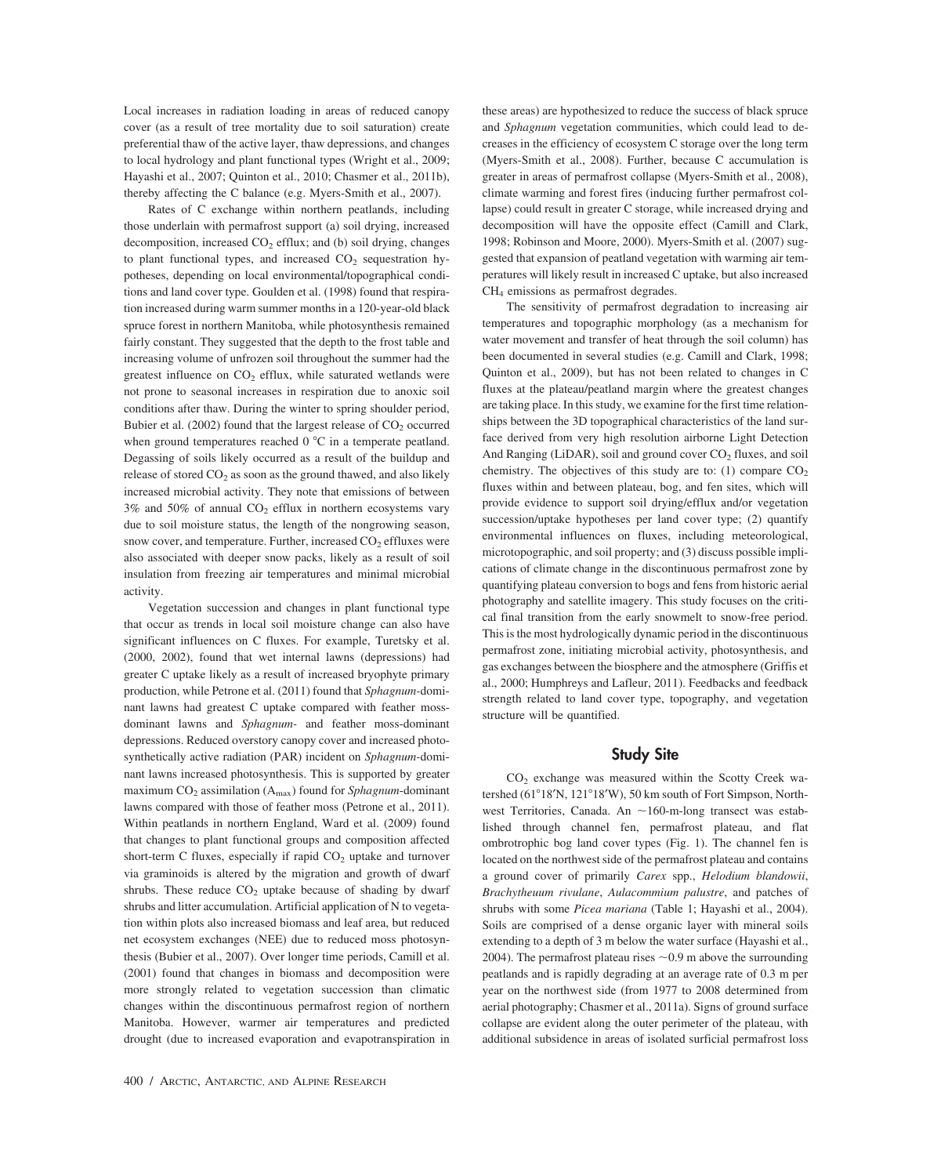Local increases in radiation loading in areas of reduced canopy cover (as a result of tree mortality due to soil saturation) create preferential thaw of the active layer, thaw depressions, and changes to local hydrology and plant functional types (Wright et al., 2009; Hayashi et al., 2007; Quinton et al., 2010; Chasmer et al., 2011b), thereby affecting the C balance (e.g. Myers-Smith et al., 2007).

Rates of C exchange within northern peatlands, including those underlain with permafrost support (a) soil drying, increased decomposition, increased  $CO<sub>2</sub>$  efflux; and (b) soil drying, changes to plant functional types, and increased  $CO<sub>2</sub>$  sequestration hypotheses, depending on local environmental/topographical conditions and land cover type. Goulden et al. (1998) found that respiration increased during warm summer months in a 120-year-old black spruce forest in northern Manitoba, while photosynthesis remained fairly constant. They suggested that the depth to the frost table and increasing volume of unfrozen soil throughout the summer had the greatest influence on  $CO<sub>2</sub>$  efflux, while saturated wetlands were not prone to seasonal increases in respiration due to anoxic soil conditions after thaw. During the winter to spring shoulder period, Bubier et al. (2002) found that the largest release of  $CO<sub>2</sub>$  occurred when ground temperatures reached  $0^{\circ}$ C in a temperate peatland. Degassing of soils likely occurred as a result of the buildup and release of stored  $CO<sub>2</sub>$  as soon as the ground thawed, and also likely increased microbial activity. They note that emissions of between  $3\%$  and  $50\%$  of annual  $CO<sub>2</sub>$  efflux in northern ecosystems vary due to soil moisture status, the length of the nongrowing season, snow cover, and temperature. Further, increased  $CO<sub>2</sub>$  effluxes were also associated with deeper snow packs, likely as a result of soil insulation from freezing air temperatures and minimal microbial activity.

Vegetation succession and changes in plant functional type that occur as trends in local soil moisture change can also have significant influences on C fluxes. For example, Turetsky et al. (2000, 2002), found that wet internal lawns (depressions) had greater C uptake likely as a result of increased bryophyte primary production, while Petrone et al. (2011) found that *Sphagnum-*dominant lawns had greatest C uptake compared with feather mossdominant lawns and *Sphagnum-* and feather moss-dominant depressions. Reduced overstory canopy cover and increased photosynthetically active radiation (PAR) incident on *Sphagnum-*dominant lawns increased photosynthesis. This is supported by greater maximum  $CO_2$  assimilation ( $A_{max}$ ) found for *Sphagnum*-dominant lawns compared with those of feather moss (Petrone et al., 2011). Within peatlands in northern England, Ward et al. (2009) found that changes to plant functional groups and composition affected short-term C fluxes, especially if rapid  $CO<sub>2</sub>$  uptake and turnover via graminoids is altered by the migration and growth of dwarf shrubs. These reduce  $CO<sub>2</sub>$  uptake because of shading by dwarf shrubs and litter accumulation. Artificial application of N to vegetation within plots also increased biomass and leaf area, but reduced net ecosystem exchanges (NEE) due to reduced moss photosynthesis (Bubier et al., 2007). Over longer time periods, Camill et al. (2001) found that changes in biomass and decomposition were more strongly related to vegetation succession than climatic changes within the discontinuous permafrost region of northern Manitoba. However, warmer air temperatures and predicted drought (due to increased evaporation and evapotranspiration in these areas) are hypothesized to reduce the success of black spruce and *Sphagnum* vegetation communities, which could lead to decreases in the efficiency of ecosystem C storage over the long term (Myers-Smith et al., 2008). Further, because C accumulation is greater in areas of permafrost collapse (Myers-Smith et al., 2008), climate warming and forest fires (inducing further permafrost collapse) could result in greater C storage, while increased drying and decomposition will have the opposite effect (Camill and Clark, 1998; Robinson and Moore, 2000). Myers-Smith et al. (2007) suggested that expansion of peatland vegetation with warming air temperatures will likely result in increased C uptake, but also increased CH4 emissions as permafrost degrades.

The sensitivity of permafrost degradation to increasing air temperatures and topographic morphology (as a mechanism for water movement and transfer of heat through the soil column) has been documented in several studies (e.g. Camill and Clark, 1998; Quinton et al., 2009), but has not been related to changes in C fluxes at the plateau/peatland margin where the greatest changes are taking place. In this study, we examine for the first time relationships between the 3D topographical characteristics of the land surface derived from very high resolution airborne Light Detection And Ranging (LiDAR), soil and ground cover  $CO<sub>2</sub>$  fluxes, and soil chemistry. The objectives of this study are to: (1) compare  $CO<sub>2</sub>$ fluxes within and between plateau, bog, and fen sites, which will provide evidence to support soil drying/efflux and/or vegetation succession/uptake hypotheses per land cover type; (2) quantify environmental influences on fluxes, including meteorological, microtopographic, and soil property; and (3) discuss possible implications of climate change in the discontinuous permafrost zone by quantifying plateau conversion to bogs and fens from historic aerial photography and satellite imagery. This study focuses on the critical final transition from the early snowmelt to snow-free period. This is the most hydrologically dynamic period in the discontinuous permafrost zone, initiating microbial activity, photosynthesis, and gas exchanges between the biosphere and the atmosphere (Griffis et al., 2000; Humphreys and Lafleur, 2011). Feedbacks and feedback strength related to land cover type, topography, and vegetation structure will be quantified.

# **Study Site**

CO2 exchange was measured within the Scotty Creek watershed (61°18'N, 121°18'W), 50 km south of Fort Simpson, Northwest Territories, Canada. An  $\sim$  160-m-long transect was established through channel fen, permafrost plateau, and flat ombrotrophic bog land cover types (Fig. 1). The channel fen is located on the northwest side of the permafrost plateau and contains a ground cover of primarily *Carex* spp., *Helodium blandowii*, *Brachytheuum rivulane*, *Aulacommium palustre*, and patches of shrubs with some *Picea mariana* (Table 1; Hayashi et al., 2004). Soils are comprised of a dense organic layer with mineral soils extending to a depth of 3 m below the water surface (Hayashi et al., 2004). The permafrost plateau rises  $\sim 0.9$  m above the surrounding peatlands and is rapidly degrading at an average rate of 0.3 m per year on the northwest side (from 1977 to 2008 determined from aerial photography; Chasmer et al., 2011a). Signs of ground surface collapse are evident along the outer perimeter of the plateau, with additional subsidence in areas of isolated surficial permafrost loss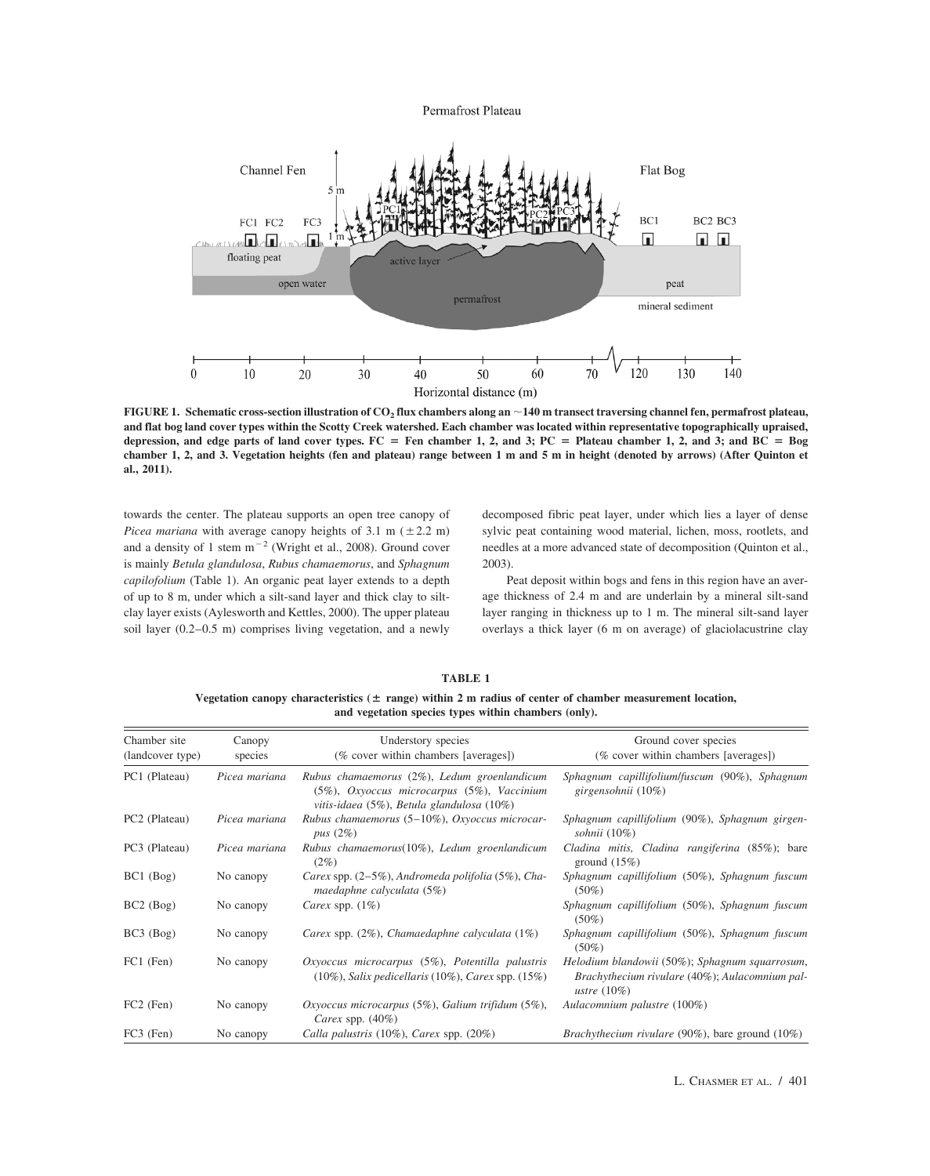Permafrost Plateau



**FIGURE 1. Schematic cross-section illustration of CO2 flux chambers along an** -**140 m transect traversing channel fen, permafrost plateau, and flat bog land cover types within the Scotty Creek watershed. Each chamber was located within representative topographically upraised,** depression, and edge parts of land cover types.  $FC = Fen$  chamber 1, 2, and 3;  $PC = Plateau$  chamber 1, 2, and 3; and  $BC = Bog$ **chamber 1, 2, and 3. Vegetation heights (fen and plateau) range between 1 m and 5 m in height (denoted by arrows) (After Quinton et al., 2011).**

towards the center. The plateau supports an open tree canopy of *Picea mariana* with average canopy heights of 3.1 m  $(\pm 2.2 \text{ m})$ and a density of 1 stem  $m^{-2}$  (Wright et al., 2008). Ground cover is mainly *Betula glandulosa*, *Rubus chamaemorus*, and *Sphagnum capilofolium* (Table 1). An organic peat layer extends to a depth of up to 8 m, under which a silt-sand layer and thick clay to siltclay layer exists (Aylesworth and Kettles, 2000). The upper plateau soil layer (0.2–0.5 m) comprises living vegetation, and a newly

decomposed fibric peat layer, under which lies a layer of dense sylvic peat containing wood material, lichen, moss, rootlets, and needles at a more advanced state of decomposition (Quinton et al., 2003).

Peat deposit within bogs and fens in this region have an average thickness of 2.4 m and are underlain by a mineral silt-sand layer ranging in thickness up to 1 m. The mineral silt-sand layer overlays a thick layer (6 m on average) of glaciolacustrine clay

| TABLE 1 |                                                                                                               |  |  |  |
|---------|---------------------------------------------------------------------------------------------------------------|--|--|--|
|         | Vegetation canopy characteristics ( $\pm$ range) within 2 m radius of center of chamber measurement location, |  |  |  |
|         | and vegetation species types within chambers (only).                                                          |  |  |  |

| Chamber site<br>(landcover type) | Canopy<br>species | Understory species<br>(% cover within chambers [averages])                                                                             | Ground cover species<br>(% cover within chambers [averages])                                                       |  |
|----------------------------------|-------------------|----------------------------------------------------------------------------------------------------------------------------------------|--------------------------------------------------------------------------------------------------------------------|--|
| PC1 (Plateau)                    | Picea mariana     | Rubus chamaemorus (2%), Ledum groenlandicum<br>(5%), Oxyoccus microcarpus (5%), Vaccinium<br>vitis-idaea (5%), Betula glandulosa (10%) | Sphagnum capillifolium/fuscum (90%), Sphagnum<br>girgensohnii $(10\%)$                                             |  |
| PC <sub>2</sub> (Plateau)        | Picea mariana     | Rubus chamaemorus (5-10%), Oxyoccus microcar-<br>pus $(2\%)$                                                                           | Sphagnum capillifolium (90%), Sphagnum girgen-<br>sohnii $(10\%)$                                                  |  |
| PC3 (Plateau)                    | Picea mariana     | Rubus chamaemorus $(10\%)$ , Ledum groenlandicum<br>$(2\%)$                                                                            | Cladina mitis, Cladina rangiferina (85%); bare<br>ground $(15%)$                                                   |  |
| $BC1$ (Bog)                      | No canopy         | Carex spp. (2–5%), Andromeda polifolia (5%), Cha-<br>maedaphne calyculata (5%)                                                         | Sphagnum capillifolium (50%), Sphagnum fuscum<br>$(50\%)$                                                          |  |
| BC2 (Bog)                        | No canopy         | Carex spp. $(1%)$                                                                                                                      | Sphagnum capillifolium (50%), Sphagnum fuscum<br>$(50\%)$                                                          |  |
| BC3 (Bog)                        | No canopy         | Carex spp. $(2\%)$ , Chamaedaphne calyculata $(1\%)$                                                                                   | Sphagnum capillifolium (50%), Sphagnum fuscum<br>$(50\%)$                                                          |  |
| FC1 (Fen)                        | No canopy         | $Oxyocus$ microcarpus $(5\%)$ , Potentilla palustris<br>$(10\%)$ , Salix pedicellaris $(10\%)$ , Carex spp. $(15\%)$                   | Helodium blandowii (50%); Sphagnum squarrosum,<br>Brachythecium rivulare (40%); Aulacomnium pal-<br>ustre $(10\%)$ |  |
| $FC2$ (Fen)                      | No canopy         | Oxyoccus microcarpus $(5\%)$ , Galium trifidum $(5\%)$ ,<br>Carex spp. $(40\%)$                                                        | Aulacomnium palustre (100%)                                                                                        |  |
| FC3 (Fen)                        | No canopy         | Calla palustris $(10\%)$ , Carex spp. $(20\%)$                                                                                         | <i>Brachythecium rivulare</i> (90%), bare ground $(10\%)$                                                          |  |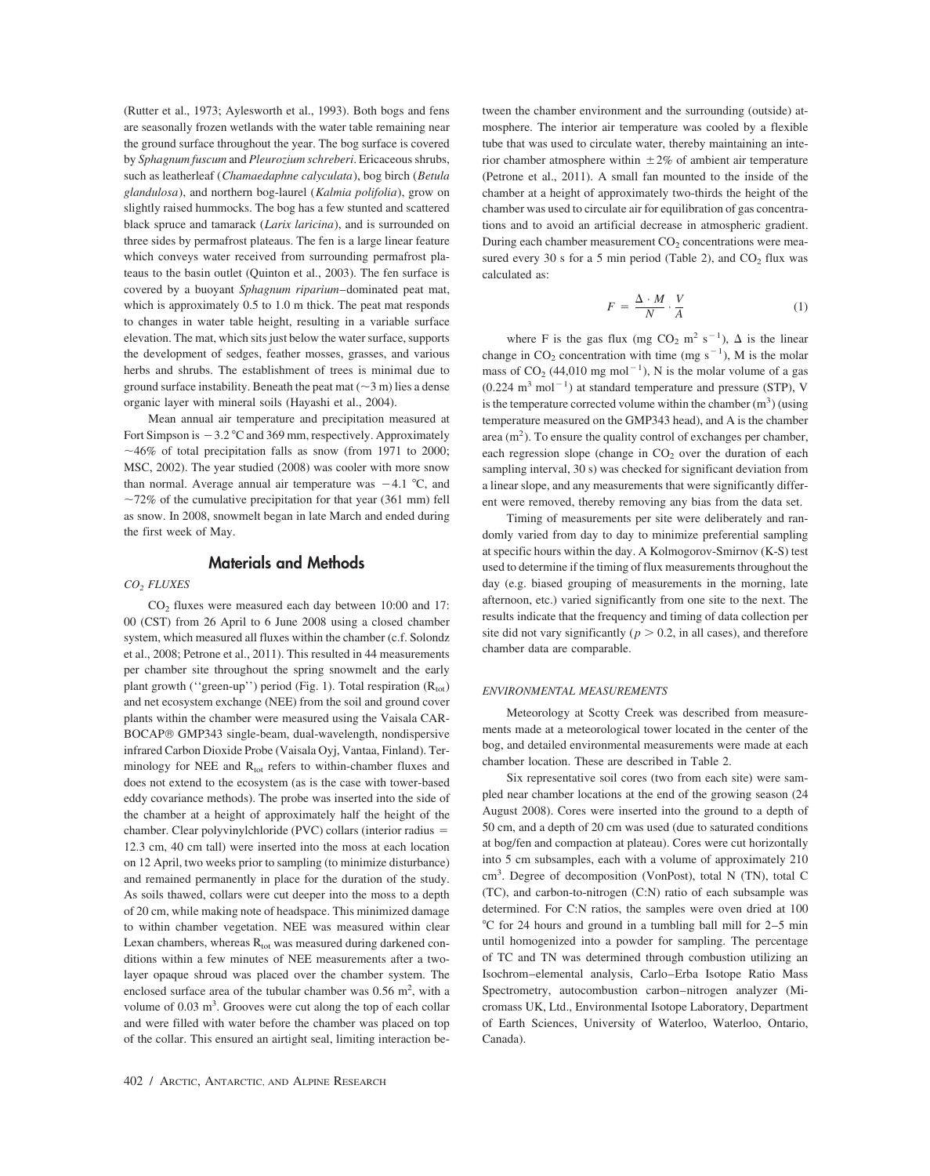(Rutter et al., 1973; Aylesworth et al., 1993). Both bogs and fens are seasonally frozen wetlands with the water table remaining near the ground surface throughout the year. The bog surface is covered by *Sphagnum fuscum* and *Pleurozium schreberi*. Ericaceous shrubs, such as leatherleaf (*Chamaedaphne calyculata*), bog birch (*Betula glandulosa*), and northern bog-laurel (*Kalmia polifolia*), grow on slightly raised hummocks. The bog has a few stunted and scattered black spruce and tamarack (*Larix laricina*), and is surrounded on three sides by permafrost plateaus. The fen is a large linear feature which conveys water received from surrounding permafrost plateaus to the basin outlet (Quinton et al., 2003). The fen surface is covered by a buoyant *Sphagnum riparium*–dominated peat mat, which is approximately 0.5 to 1.0 m thick. The peat mat responds to changes in water table height, resulting in a variable surface elevation. The mat, which sits just below the water surface, supports the development of sedges, feather mosses, grasses, and various herbs and shrubs. The establishment of trees is minimal due to ground surface instability. Beneath the peat mat  $(\sim 3 \text{ m})$  lies a dense organic layer with mineral soils (Hayashi et al., 2004).

Mean annual air temperature and precipitation measured at Fort Simpson is  $-3.2 \degree C$  and 369 mm, respectively. Approximately  $\sim$  46% of total precipitation falls as snow (from 1971 to 2000; MSC, 2002). The year studied (2008) was cooler with more snow than normal. Average annual air temperature was  $-4.1$  °C, and  $\sim$ 72% of the cumulative precipitation for that year (361 mm) fell as snow. In 2008, snowmelt began in late March and ended during the first week of May.

# **Materials and Methods**

#### *CO2 FLUXES*

CO<sub>2</sub> fluxes were measured each day between 10:00 and 17: 00 (CST) from 26 April to 6 June 2008 using a closed chamber system, which measured all fluxes within the chamber (c.f. Solondz et al., 2008; Petrone et al., 2011). This resulted in 44 measurements per chamber site throughout the spring snowmelt and the early plant growth ("green-up") period (Fig. 1). Total respiration  $(R_{\text{tot}})$ and net ecosystem exchange (NEE) from the soil and ground cover plants within the chamber were measured using the Vaisala CAR-BOCAP® GMP343 single-beam, dual-wavelength, nondispersive infrared Carbon Dioxide Probe (Vaisala Oyj, Vantaa, Finland). Terminology for NEE and  $R_{tot}$  refers to within-chamber fluxes and does not extend to the ecosystem (as is the case with tower-based eddy covariance methods). The probe was inserted into the side of the chamber at a height of approximately half the height of the chamber. Clear polyvinylchloride (PVC) collars (interior radius = 12.3 cm, 40 cm tall) were inserted into the moss at each location on 12 April, two weeks prior to sampling (to minimize disturbance) and remained permanently in place for the duration of the study. As soils thawed, collars were cut deeper into the moss to a depth of 20 cm, while making note of headspace. This minimized damage to within chamber vegetation. NEE was measured within clear Lexan chambers, whereas  $R_{\text{tot}}$  was measured during darkened conditions within a few minutes of NEE measurements after a twolayer opaque shroud was placed over the chamber system. The enclosed surface area of the tubular chamber was  $0.56$  m<sup>2</sup>, with a volume of  $0.03 \text{ m}^3$ . Grooves were cut along the top of each collar and were filled with water before the chamber was placed on top of the collar. This ensured an airtight seal, limiting interaction between the chamber environment and the surrounding (outside) atmosphere. The interior air temperature was cooled by a flexible tube that was used to circulate water, thereby maintaining an interior chamber atmosphere within  $\pm 2\%$  of ambient air temperature (Petrone et al., 2011). A small fan mounted to the inside of the chamber at a height of approximately two-thirds the height of the chamber was used to circulate air for equilibration of gas concentrations and to avoid an artificial decrease in atmospheric gradient. During each chamber measurement  $CO<sub>2</sub>$  concentrations were measured every 30 s for a 5 min period (Table 2), and  $CO<sub>2</sub>$  flux was calculated as:

$$
F = \frac{\Delta \cdot M}{N} \cdot \frac{V}{A} \tag{1}
$$

where F is the gas flux (mg CO<sub>2</sub> m<sup>2</sup> s<sup>-1</sup>),  $\Delta$  is the linear change in  $CO_2$  concentration with time (mg s<sup>-1</sup>), M is the molar mass of  $CO_2$  (44,010 mg mol<sup>-1</sup>), N is the molar volume of a gas  $(0.224 \text{ m}^3 \text{ mol}^{-1})$  at standard temperature and pressure (STP), V is the temperature corrected volume within the chamber  $(m^3)$  (using temperature measured on the GMP343 head), and A is the chamber area  $(m<sup>2</sup>)$ . To ensure the quality control of exchanges per chamber, each regression slope (change in  $CO<sub>2</sub>$  over the duration of each sampling interval, 30 s) was checked for significant deviation from a linear slope, and any measurements that were significantly different were removed, thereby removing any bias from the data set.

Timing of measurements per site were deliberately and randomly varied from day to day to minimize preferential sampling at specific hours within the day. A Kolmogorov-Smirnov (K-S) test used to determine if the timing of flux measurements throughout the day (e.g. biased grouping of measurements in the morning, late afternoon, etc.) varied significantly from one site to the next. The results indicate that the frequency and timing of data collection per site did not vary significantly ( $p > 0.2$ , in all cases), and therefore chamber data are comparable.

# *ENVIRONMENTAL MEASUREMENTS*

Meteorology at Scotty Creek was described from measurements made at a meteorological tower located in the center of the bog, and detailed environmental measurements were made at each chamber location. These are described in Table 2.

Six representative soil cores (two from each site) were sampled near chamber locations at the end of the growing season (24 August 2008). Cores were inserted into the ground to a depth of 50 cm, and a depth of 20 cm was used (due to saturated conditions at bog/fen and compaction at plateau). Cores were cut horizontally into 5 cm subsamples, each with a volume of approximately 210 cm<sup>3</sup>. Degree of decomposition (VonPost), total N (TN), total C (TC), and carbon-to-nitrogen (C:N) ratio of each subsample was determined. For C:N ratios, the samples were oven dried at 100 -C for 24 hours and ground in a tumbling ball mill for 2–5 min until homogenized into a powder for sampling. The percentage of TC and TN was determined through combustion utilizing an Isochrom–elemental analysis, Carlo–Erba Isotope Ratio Mass Spectrometry, autocombustion carbon–nitrogen analyzer (Micromass UK, Ltd., Environmental Isotope Laboratory, Department of Earth Sciences, University of Waterloo, Waterloo, Ontario, Canada).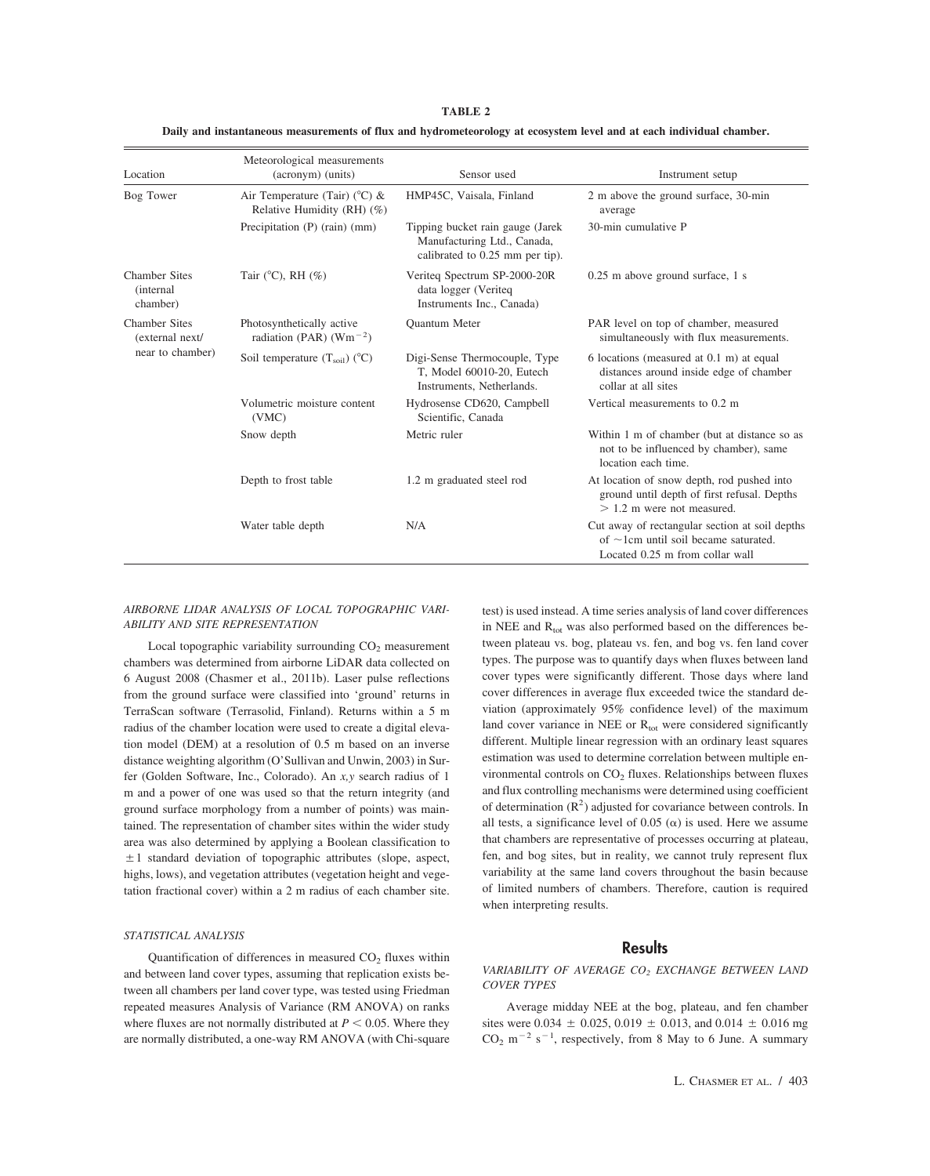| Location                                              | Meteorological measurements<br>(acronym) (units)                       | Sensor used                                                                                         | Instrument setup                                                                                                                |
|-------------------------------------------------------|------------------------------------------------------------------------|-----------------------------------------------------------------------------------------------------|---------------------------------------------------------------------------------------------------------------------------------|
| Bog Tower                                             | Air Temperature (Tair) ( $^{\circ}$ C) &<br>Relative Humidity (RH) (%) | HMP45C, Vaisala, Finland                                                                            | 2 m above the ground surface, 30-min<br>average                                                                                 |
|                                                       | Precipitation $(P)$ (rain) (mm)                                        | Tipping bucket rain gauge (Jarek)<br>Manufacturing Ltd., Canada,<br>calibrated to 0.25 mm per tip). | 30-min cumulative P                                                                                                             |
| <b>Chamber Sites</b><br><i>(internal)</i><br>chamber) | Tair ( $^{\circ}$ C), RH (%)                                           | Verited Spectrum SP-2000-20R<br>data logger (Veriteq<br>Instruments Inc., Canada)                   | 0.25 m above ground surface, 1 s                                                                                                |
| <b>Chamber Sites</b><br>(external next/               | Photosynthetically active<br>radiation (PAR) ( $Wm^{-2}$ )             | Quantum Meter                                                                                       | PAR level on top of chamber, measured<br>simultaneously with flux measurements.                                                 |
| near to chamber)                                      | Soil temperature $(T_{\text{soil}})$ (°C)                              | Digi-Sense Thermocouple, Type<br>T, Model 60010-20, Eutech<br>Instruments, Netherlands.             | 6 locations (measured at 0.1 m) at equal<br>distances around inside edge of chamber<br>collar at all sites                      |
|                                                       | Volumetric moisture content<br>(VMC)                                   | Hydrosense CD620, Campbell<br>Scientific, Canada                                                    | Vertical measurements to 0.2 m                                                                                                  |
|                                                       | Snow depth                                                             | Metric ruler                                                                                        | Within 1 m of chamber (but at distance so as<br>not to be influenced by chamber), same<br>location each time.                   |
|                                                       | Depth to frost table                                                   | 1.2 m graduated steel rod                                                                           | At location of snow depth, rod pushed into<br>ground until depth of first refusal. Depths<br>$> 1.2$ m were not measured.       |
|                                                       | Water table depth                                                      | N/A                                                                                                 | Cut away of rectangular section at soil depths<br>of $\sim$ 1cm until soil became saturated.<br>Located 0.25 m from collar wall |

**TABLE 2 Daily and instantaneous measurements of flux and hydrometeorology at ecosystem level and at each individual chamber.**

#### *AIRBORNE LIDAR ANALYSIS OF LOCAL TOPOGRAPHIC VARI-ABILITY AND SITE REPRESENTATION*

Local topographic variability surrounding  $CO<sub>2</sub>$  measurement chambers was determined from airborne LiDAR data collected on 6 August 2008 (Chasmer et al., 2011b). Laser pulse reflections from the ground surface were classified into 'ground' returns in TerraScan software (Terrasolid, Finland). Returns within a 5 m radius of the chamber location were used to create a digital elevation model (DEM) at a resolution of 0.5 m based on an inverse distance weighting algorithm (O'Sullivan and Unwin, 2003) in Surfer (Golden Software, Inc., Colorado). An *x,y* search radius of 1 m and a power of one was used so that the return integrity (and ground surface morphology from a number of points) was maintained. The representation of chamber sites within the wider study area was also determined by applying a Boolean classification to  $\pm 1$  standard deviation of topographic attributes (slope, aspect, highs, lows), and vegetation attributes (vegetation height and vegetation fractional cover) within a 2 m radius of each chamber site.

#### *STATISTICAL ANALYSIS*

Quantification of differences in measured  $CO<sub>2</sub>$  fluxes within and between land cover types, assuming that replication exists between all chambers per land cover type, was tested using Friedman repeated measures Analysis of Variance (RM ANOVA) on ranks where fluxes are not normally distributed at  $P < 0.05$ . Where they are normally distributed, a one-way RM ANOVA (with Chi-square test) is used instead. A time series analysis of land cover differences in NEE and  $R_{tot}$  was also performed based on the differences between plateau vs. bog, plateau vs. fen, and bog vs. fen land cover types. The purpose was to quantify days when fluxes between land cover types were significantly different. Those days where land cover differences in average flux exceeded twice the standard deviation (approximately 95% confidence level) of the maximum land cover variance in NEE or  $R_{tot}$  were considered significantly different. Multiple linear regression with an ordinary least squares estimation was used to determine correlation between multiple environmental controls on  $CO<sub>2</sub>$  fluxes. Relationships between fluxes and flux controlling mechanisms were determined using coefficient of determination  $(R^2)$  adjusted for covariance between controls. In all tests, a significance level of 0.05 ( $\alpha$ ) is used. Here we assume that chambers are representative of processes occurring at plateau, fen, and bog sites, but in reality, we cannot truly represent flux variability at the same land covers throughout the basin because of limited numbers of chambers. Therefore, caution is required when interpreting results.

# **Results**

# *VARIABILITY OF AVERAGE CO2 EXCHANGE BETWEEN LAND COVER TYPES*

Average midday NEE at the bog, plateau, and fen chamber sites were 0.034  $\pm$  0.025, 0.019  $\pm$  0.013, and 0.014  $\pm$  0.016 mg  $CO<sub>2</sub>$  m<sup>-2</sup> s<sup>-1</sup>, respectively, from 8 May to 6 June. A summary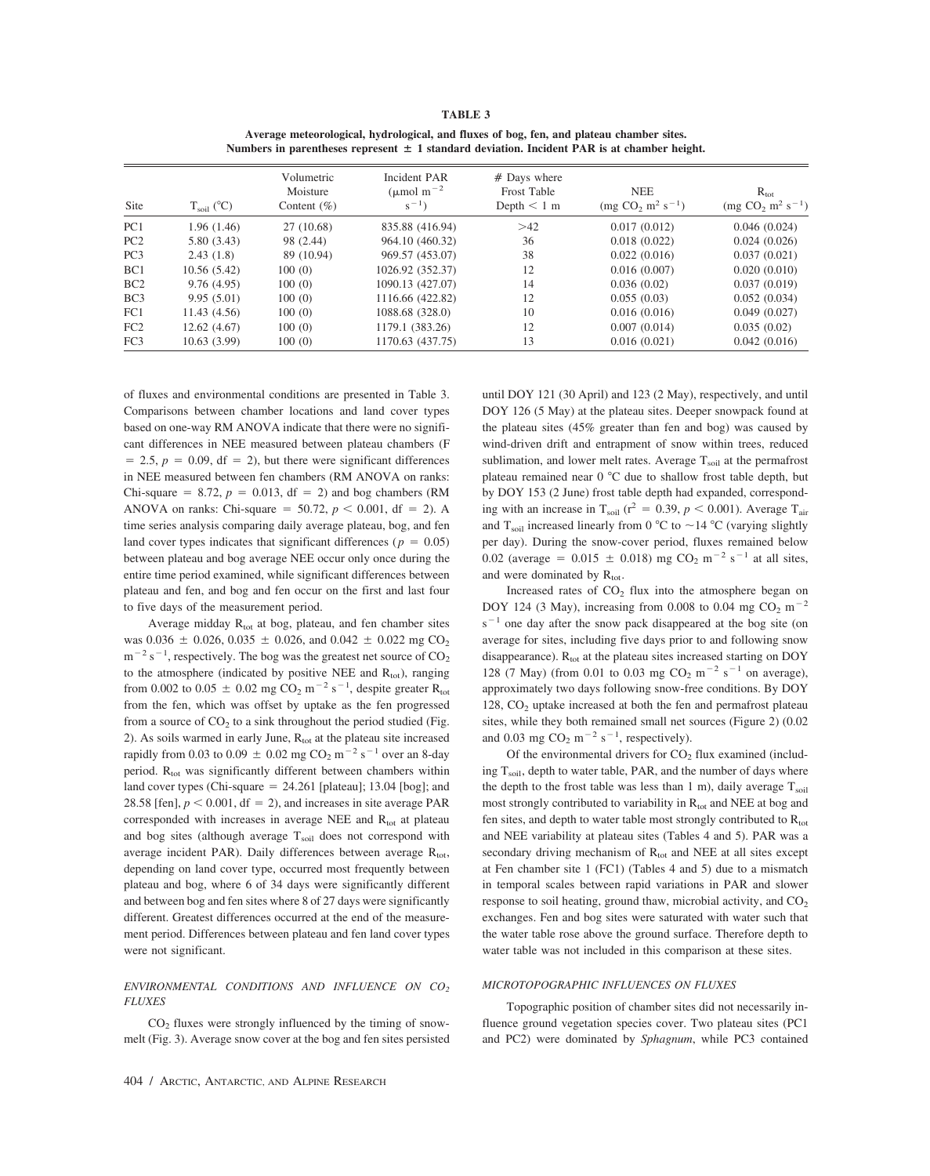| n<br>. . |  |
|----------|--|
|----------|--|

| Average meteorological, hydrological, and fluxes of bog, fen, and plateau chamber sites.        |
|-------------------------------------------------------------------------------------------------|
| Numbers in parentheses represent $\pm$ 1 standard deviation. Incident PAR is at chamber height. |

| Site            | $T_{\rm soil}$ (°C) | Volumetric<br>Moisture<br>Content $(\%)$ | Incident PAR<br>$(\mu \text{mol m}^{-2})$<br>$s^{-1}$ ) | $#$ Days where<br>Frost Table<br>Depth $\leq 1$ m | <b>NEE</b><br>$\text{(mg CO}_2 \text{ m}^2 \text{ s}^{-1})$ | $R_{\rm tot}$<br>$\text{(mg CO}_2 \text{ m}^2 \text{ s}^{-1})$ |
|-----------------|---------------------|------------------------------------------|---------------------------------------------------------|---------------------------------------------------|-------------------------------------------------------------|----------------------------------------------------------------|
| PC1             | 1.96(1.46)          | 27 (10.68)                               | 835.88 (416.94)                                         | >42                                               | 0.017(0.012)                                                | 0.046(0.024)                                                   |
| PC <sub>2</sub> | 5.80(3.43)          | 98 (2.44)                                | 964.10 (460.32)                                         | 36                                                | 0.018(0.022)                                                | 0.024(0.026)                                                   |
| PC <sub>3</sub> | 2.43(1.8)           | 89 (10.94)                               | 969.57 (453.07)                                         | 38                                                | 0.022(0.016)                                                | 0.037(0.021)                                                   |
| BC1             | 10.56(5.42)         | 100(0)                                   | 1026.92 (352.37)                                        | 12                                                | 0.016(0.007)                                                | 0.020(0.010)                                                   |
| BC2             | 9.76(4.95)          | 100(0)                                   | 1090.13 (427.07)                                        | 14                                                | 0.036(0.02)                                                 | 0.037(0.019)                                                   |
| BC <sub>3</sub> | 9.95(5.01)          | 100(0)                                   | 1116.66 (422.82)                                        | 12                                                | 0.055(0.03)                                                 | 0.052(0.034)                                                   |
| FC1             | 11.43(4.56)         | 100(0)                                   | 1088.68 (328.0)                                         | 10                                                | 0.016(0.016)                                                | 0.049(0.027)                                                   |
| FC2             | 12.62(4.67)         | 100(0)                                   | 1179.1 (383.26)                                         | 12                                                | 0.007(0.014)                                                | 0.035(0.02)                                                    |
| FC <sub>3</sub> | 10.63(3.99)         | 100(0)                                   | 1170.63 (437.75)                                        | 13                                                | 0.016(0.021)                                                | 0.042(0.016)                                                   |

of fluxes and environmental conditions are presented in Table 3. Comparisons between chamber locations and land cover types based on one-way RM ANOVA indicate that there were no significant differences in NEE measured between plateau chambers (F  $= 2.5, p = 0.09, df = 2$ , but there were significant differences in NEE measured between fen chambers (RM ANOVA on ranks: Chi-square  $= 8.72$ ,  $p = 0.013$ , df  $= 2$ ) and bog chambers (RM ANOVA on ranks: Chi-square = 50.72,  $p < 0.001$ , df = 2). A time series analysis comparing daily average plateau, bog, and fen land cover types indicates that significant differences ( $p = 0.05$ ) between plateau and bog average NEE occur only once during the entire time period examined, while significant differences between plateau and fen, and bog and fen occur on the first and last four to five days of the measurement period.

Average midday  $R_{\text{tot}}$  at bog, plateau, and fen chamber sites was 0.036  $\pm$  0.026, 0.035  $\pm$  0.026, and 0.042  $\pm$  0.022 mg CO<sub>2</sub>  $m^{-2}$  s<sup>-1</sup>, respectively. The bog was the greatest net source of CO<sub>2</sub> to the atmosphere (indicated by positive NEE and  $R_{\text{tot}}$ ), ranging from 0.002 to 0.05  $\pm$  0.02 mg CO<sub>2</sub> m<sup>-2</sup> s<sup>-1</sup>, despite greater R<sub>tot</sub> from the fen, which was offset by uptake as the fen progressed from a source of  $CO<sub>2</sub>$  to a sink throughout the period studied (Fig. 2). As soils warmed in early June,  $R_{\text{tot}}$  at the plateau site increased rapidly from 0.03 to 0.09  $\pm$  0.02 mg CO<sub>2</sub> m<sup>-2</sup> s<sup>-1</sup> over an 8-day period.  $R_{tot}$  was significantly different between chambers within land cover types (Chi-square  $= 24.261$  [plateau]; 13.04 [bog]; and 28.58 [fen],  $p < 0.001$ , df = 2), and increases in site average PAR corresponded with increases in average NEE and  $R_{tot}$  at plateau and bog sites (although average  $T_{\text{soil}}$  does not correspond with average incident PAR). Daily differences between average  $R_{\text{tot}}$ , depending on land cover type, occurred most frequently between plateau and bog, where 6 of 34 days were significantly different and between bog and fen sites where 8 of 27 days were significantly different. Greatest differences occurred at the end of the measurement period. Differences between plateau and fen land cover types were not significant.

#### *ENVIRONMENTAL CONDITIONS AND INFLUENCE ON CO2 FLUXES*

 $CO<sub>2</sub>$  fluxes were strongly influenced by the timing of snowmelt (Fig. 3). Average snow cover at the bog and fen sites persisted until DOY 121 (30 April) and 123 (2 May), respectively, and until DOY 126 (5 May) at the plateau sites. Deeper snowpack found at the plateau sites (45% greater than fen and bog) was caused by wind-driven drift and entrapment of snow within trees, reduced sublimation, and lower melt rates. Average  $T_{\text{solid}}$  at the permafrost plateau remained near 0 °C due to shallow frost table depth, but by DOY 153 (2 June) frost table depth had expanded, corresponding with an increase in  $T_{\text{soil}}$  ( $r^2 = 0.39$ ,  $p < 0.001$ ). Average  $T_{\text{air}}$ and  $T_{\text{soil}}$  increased linearly from 0 °C to  $\sim$  14 °C (varying slightly per day). During the snow-cover period, fluxes remained below 0.02 (average = 0.015  $\pm$  0.018) mg CO<sub>2</sub> m<sup>-2</sup> s<sup>-1</sup> at all sites, and were dominated by  $R_{\text{tot}}$ .

Increased rates of  $CO<sub>2</sub>$  flux into the atmosphere began on DOY 124 (3 May), increasing from 0.008 to 0.04 mg  $CO<sub>2</sub>$  m<sup>-2</sup>  $s^{-1}$  one day after the snow pack disappeared at the bog site (on average for sites, including five days prior to and following snow disappearance).  $R_{\text{tot}}$  at the plateau sites increased starting on DOY 128 (7 May) (from 0.01 to 0.03 mg  $CO_2$  m<sup>-2</sup> s<sup>-1</sup> on average), approximately two days following snow-free conditions. By DOY  $128$ ,  $CO<sub>2</sub>$  uptake increased at both the fen and permafrost plateau sites, while they both remained small net sources (Figure 2) (0.02 and 0.03 mg  $CO<sub>2</sub> m<sup>-2</sup> s<sup>-1</sup>$ , respectively).

Of the environmental drivers for  $CO<sub>2</sub>$  flux examined (including  $T_{\text{soil}}$ , depth to water table, PAR, and the number of days where the depth to the frost table was less than 1 m), daily average  $T_{\text{soil}}$ most strongly contributed to variability in  $R_{tot}$  and NEE at bog and fen sites, and depth to water table most strongly contributed to  $R_{\text{tot}}$ and NEE variability at plateau sites (Tables 4 and 5). PAR was a secondary driving mechanism of  $R_{tot}$  and NEE at all sites except at Fen chamber site 1 (FC1) (Tables 4 and 5) due to a mismatch in temporal scales between rapid variations in PAR and slower response to soil heating, ground thaw, microbial activity, and  $CO<sub>2</sub>$ exchanges. Fen and bog sites were saturated with water such that the water table rose above the ground surface. Therefore depth to water table was not included in this comparison at these sites.

#### *MICROTOPOGRAPHIC INFLUENCES ON FLUXES*

Topographic position of chamber sites did not necessarily influence ground vegetation species cover. Two plateau sites (PC1 and PC2) were dominated by *Sphagnum*, while PC3 contained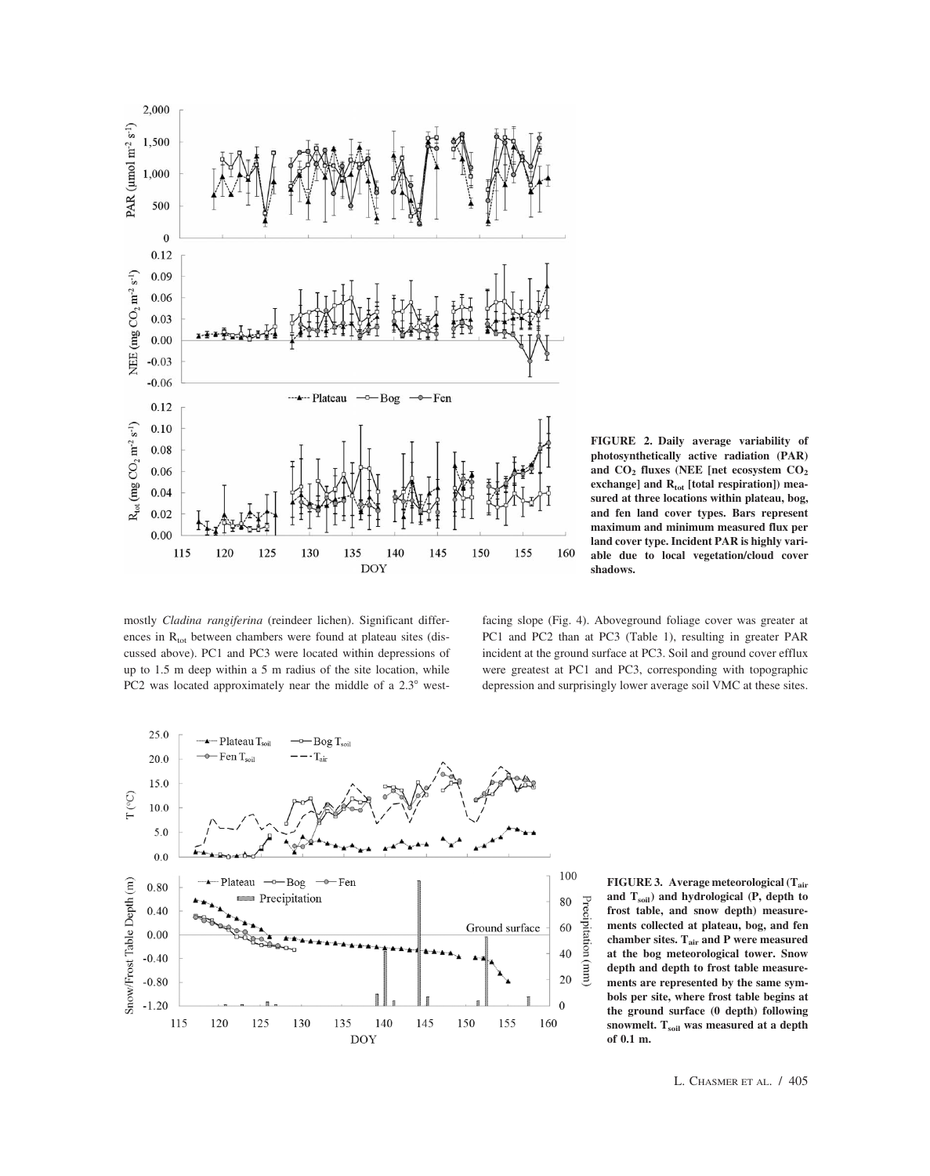

**FIGURE 2. Daily average variability of photosynthetically active radiation (PAR)** and CO<sub>2</sub> fluxes (NEE [net ecosystem CO<sub>2</sub> exchange] and R<sub>tot</sub> [total respiration]) mea**sured at three locations within plateau, bog, and fen land cover types. Bars represent maximum and minimum measured flux per land cover type. Incident PAR is highly variable due to local vegetation/cloud cover shadows.**

mostly *Cladina rangiferina* (reindeer lichen). Significant differences in  $R_{tot}$  between chambers were found at plateau sites (discussed above). PC1 and PC3 were located within depressions of up to 1.5 m deep within a 5 m radius of the site location, while PC2 was located approximately near the middle of a  $2.3^\circ$  westfacing slope (Fig. 4). Aboveground foliage cover was greater at PC1 and PC2 than at PC3 (Table 1), resulting in greater PAR incident at the ground surface at PC3. Soil and ground cover efflux were greatest at PC1 and PC3, corresponding with topographic depression and surprisingly lower average soil VMC at these sites.



**FIGURE 3. Average meteorological (Tair and Tsoil) and hydrological (P, depth to frost table, and snow depth) measurements collected at plateau, bog, and fen chamber sites. Tair and P were measured at the bog meteorological tower. Snow depth and depth to frost table measurements are represented by the same symbols per site, where frost table begins at the ground surface (0 depth) following snowmelt. Tsoil was measured at a depth of 0.1 m.**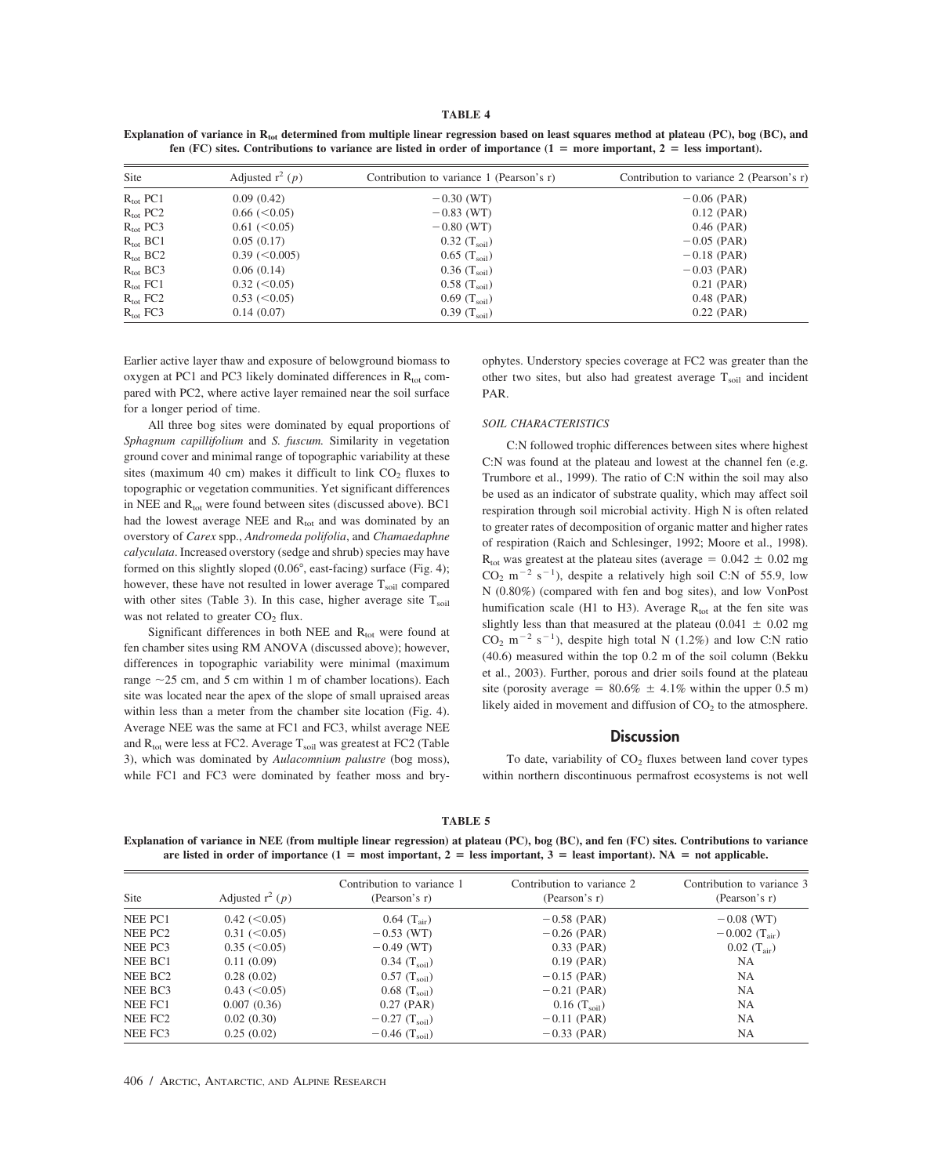#### **TABLE 4**

Explanation of variance in R<sub>tot</sub> determined from multiple linear regression based on least squares method at plateau (PC), bog (BC), and **fen** (FC) sites. Contributions to variance are listed in order of importance  $(1 = more important, 2 = less important)$ .

| Site                 | Adjusted $r^2$ (p)   | Contribution to variance 1 (Pearson's r) | Contribution to variance 2 (Pearson's r) |
|----------------------|----------------------|------------------------------------------|------------------------------------------|
| $R_{\text{tot}}$ PC1 | 0.09(0.42)           | $-0.30$ (WT)                             | $-0.06$ (PAR)                            |
| $R_{\text{tot}}$ PC2 | $0.66 \leq 0.05$     | $-0.83$ (WT)                             | $0.12$ (PAR)                             |
| $R_{\text{tot}}$ PC3 | $0.61 \leq 0.05$     | $-0.80$ (WT)                             | $0.46$ (PAR)                             |
| $R_{\text{tot}}$ BC1 | 0.05(0.17)           | 0.32 $(T_{\rm soil})$                    | $-0.05$ (PAR)                            |
| $R_{\text{tot}}$ BC2 | $0.39$ ( $< 0.005$ ) | $0.65$ (T <sub>soil</sub> )              | $-0.18$ (PAR)                            |
| $R_{\text{tot}}$ BC3 | 0.06(0.14)           | 0.36 $(T_{\rm soil})$                    | $-0.03$ (PAR)                            |
| $R_{\text{tot}}$ FC1 | $0.32 \approx 0.05$  | $0.58$ (T <sub>soil</sub> )              | $0.21$ (PAR)                             |
| $R_{\rm tot}$ FC2    | $0.53 \leq 0.05$     | 0.69 $(T_{\text{soil}})$                 | $0.48$ (PAR)                             |
| $R_{\text{tot}}$ FC3 | 0.14(0.07)           | 0.39 $(T_{\rm soil})$                    | $0.22$ (PAR)                             |

Earlier active layer thaw and exposure of belowground biomass to oxygen at PC1 and PC3 likely dominated differences in  $R_{\text{tot}}$  compared with PC2, where active layer remained near the soil surface for a longer period of time.

All three bog sites were dominated by equal proportions of *Sphagnum capillifolium* and *S. fuscum.* Similarity in vegetation ground cover and minimal range of topographic variability at these sites (maximum 40 cm) makes it difficult to link  $CO<sub>2</sub>$  fluxes to topographic or vegetation communities. Yet significant differences in NEE and  $R_{tot}$  were found between sites (discussed above). BC1 had the lowest average NEE and  $R_{tot}$  and was dominated by an overstory of *Carex* spp., *Andromeda polifolia*, and *Chamaedaphne calyculata*. Increased overstory (sedge and shrub) species may have formed on this slightly sloped (0.06°, east-facing) surface (Fig. 4); however, these have not resulted in lower average  $T_{\text{sol}}$  compared with other sites (Table 3). In this case, higher average site  $T_{\text{soil}}$ was not related to greater  $CO<sub>2</sub>$  flux.

Significant differences in both NEE and  $R_{tot}$  were found at fen chamber sites using RM ANOVA (discussed above); however, differences in topographic variability were minimal (maximum range  $\sim$ 25 cm, and 5 cm within 1 m of chamber locations). Each site was located near the apex of the slope of small upraised areas within less than a meter from the chamber site location (Fig. 4). Average NEE was the same at FC1 and FC3, whilst average NEE and  $R_{\text{tot}}$  were less at FC2. Average  $T_{\text{soil}}$  was greatest at FC2 (Table 3), which was dominated by *Aulacomnium palustre* (bog moss), while FC1 and FC3 were dominated by feather moss and bryophytes. Understory species coverage at FC2 was greater than the other two sites, but also had greatest average  $T_{\text{soil}}$  and incident PAR.

#### *SOIL CHARACTERISTICS*

C:N followed trophic differences between sites where highest C:N was found at the plateau and lowest at the channel fen (e.g. Trumbore et al., 1999). The ratio of C:N within the soil may also be used as an indicator of substrate quality, which may affect soil respiration through soil microbial activity. High N is often related to greater rates of decomposition of organic matter and higher rates of respiration (Raich and Schlesinger, 1992; Moore et al., 1998).  $R_{\text{tot}}$  was greatest at the plateau sites (average =  $0.042 \pm 0.02$  mg  $CO_2$  m<sup>-2</sup> s<sup>-1</sup>), despite a relatively high soil C:N of 55.9, low N (0.80%) (compared with fen and bog sites), and low VonPost humification scale (H1 to H3). Average  $R_{tot}$  at the fen site was slightly less than that measured at the plateau (0.041  $\pm$  0.02 mg  $CO_2$  m<sup>-2</sup> s<sup>-1</sup>), despite high total N (1.2%) and low C:N ratio (40.6) measured within the top 0.2 m of the soil column (Bekku et al., 2003). Further, porous and drier soils found at the plateau site (porosity average =  $80.6\% \pm 4.1\%$  within the upper 0.5 m) likely aided in movement and diffusion of  $CO<sub>2</sub>$  to the atmosphere.

# **Discussion**

To date, variability of  $CO<sub>2</sub>$  fluxes between land cover types within northern discontinuous permafrost ecosystems is not well

#### **TABLE 5**

**Explanation of variance in NEE (from multiple linear regression) at plateau (PC), bog (BC), and fen (FC) sites. Contributions to variance** are listed in order of importance  $(1 = \text{most important}, 2 = \text{less important}, 3 = \text{least important})$ . NA = not applicable.

| Site                | Adjusted $r^2$ (p)    | Contribution to variance 1<br>(Pearson's r) | Contribution to variance 2<br>(Pearson's r) | Contribution to variance 3<br>(Pearson's r) |
|---------------------|-----------------------|---------------------------------------------|---------------------------------------------|---------------------------------------------|
| NEE PC1             | $0.42 \, (\leq 0.05)$ | 0.64 $(T_{\text{air}})$                     | $-0.58$ (PAR)                               | $-0.08$ (WT)                                |
| NEE PC <sub>2</sub> | $0.31 \leq 0.05$      | $-0.53$ (WT)                                | $-0.26$ (PAR)                               | $-0.002$ (T <sub>air</sub> )                |
| NEE PC3             | $0.35 \leq C(0.05)$   | $-0.49$ (WT)                                | $0.33$ (PAR)                                | $0.02~({\rm T}_{\rm air})$                  |
| NEE BC1             | 0.11(0.09)            | 0.34 $(T_{\rm soil})$                       | $0.19$ (PAR)                                | NA.                                         |
| NEE BC <sub>2</sub> | 0.28(0.02)            | $0.57$ (T <sub>soil</sub> )                 | $-0.15$ (PAR)                               | <b>NA</b>                                   |
| NEE BC3             | 0.43 (< 0.05)         | $0.68$ (T <sub>soil</sub> )                 | $-0.21$ (PAR)                               | <b>NA</b>                                   |
| NEE FC1             | 0.007(0.36)           | $0.27$ (PAR)                                | $0.16$ (T <sub>soil</sub> )                 | <b>NA</b>                                   |
| NEE FC <sub>2</sub> | 0.02(0.30)            | $-0.27$ (T <sub>soil</sub> )                | $-0.11$ (PAR)                               | <b>NA</b>                                   |
| NEE FC3             | 0.25(0.02)            | $-0.46$ (T <sub>soil</sub> )                | $-0.33$ (PAR)                               | <b>NA</b>                                   |
|                     |                       |                                             |                                             |                                             |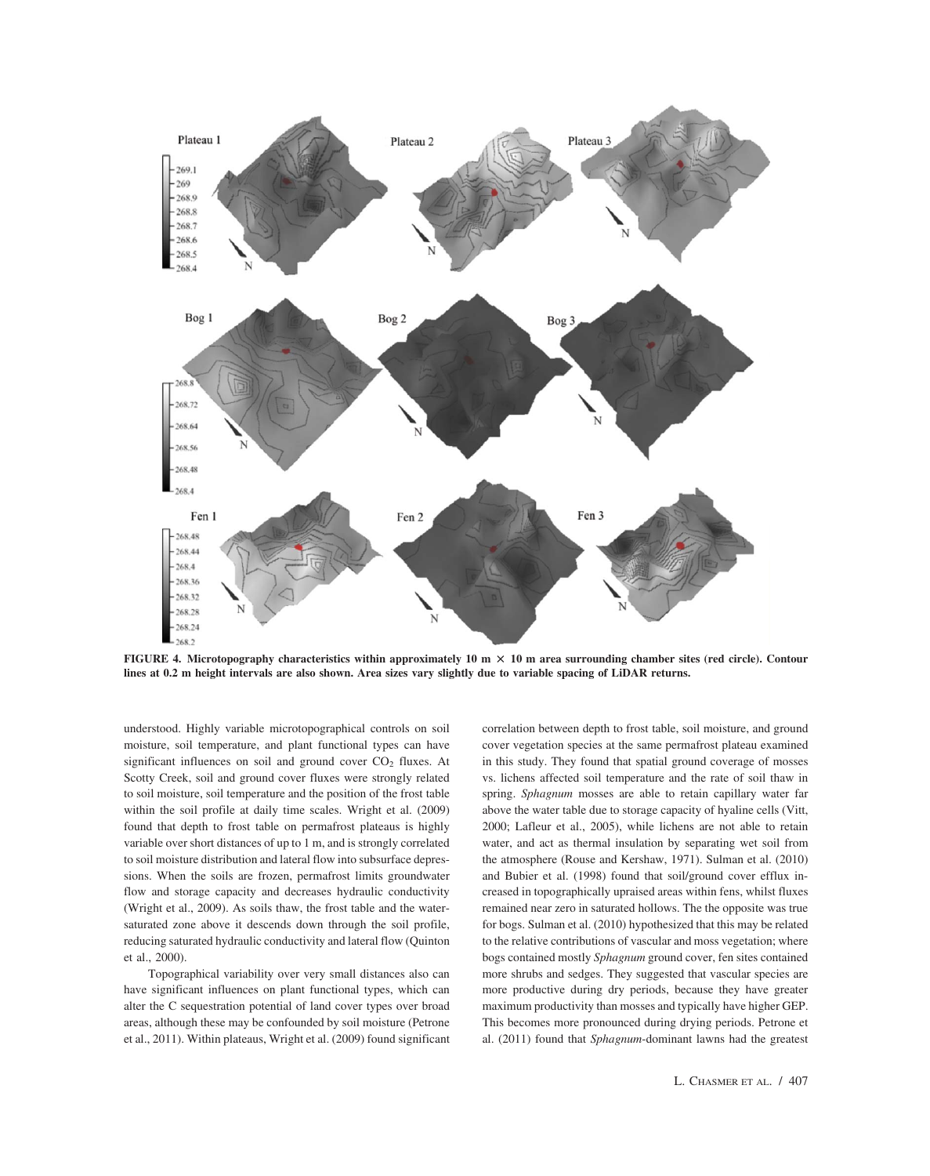

**FIGURE 4.** Microtopography characteristics within approximately  $10 \text{ m} \times 10 \text{ m}$  area surrounding chamber sites (red circle). Contour **lines at 0.2 m height intervals are also shown. Area sizes vary slightly due to variable spacing of LiDAR returns.**

understood. Highly variable microtopographical controls on soil moisture, soil temperature, and plant functional types can have significant influences on soil and ground cover  $CO<sub>2</sub>$  fluxes. At Scotty Creek, soil and ground cover fluxes were strongly related to soil moisture, soil temperature and the position of the frost table within the soil profile at daily time scales. Wright et al. (2009) found that depth to frost table on permafrost plateaus is highly variable over short distances of up to 1 m, and is strongly correlated to soil moisture distribution and lateral flow into subsurface depressions. When the soils are frozen, permafrost limits groundwater flow and storage capacity and decreases hydraulic conductivity (Wright et al., 2009). As soils thaw, the frost table and the watersaturated zone above it descends down through the soil profile, reducing saturated hydraulic conductivity and lateral flow (Quinton et al., 2000).

Topographical variability over very small distances also can have significant influences on plant functional types, which can alter the C sequestration potential of land cover types over broad areas, although these may be confounded by soil moisture (Petrone et al., 2011). Within plateaus, Wright et al. (2009) found significant correlation between depth to frost table, soil moisture, and ground cover vegetation species at the same permafrost plateau examined in this study. They found that spatial ground coverage of mosses vs. lichens affected soil temperature and the rate of soil thaw in spring. *Sphagnum* mosses are able to retain capillary water far above the water table due to storage capacity of hyaline cells (Vitt, 2000; Lafleur et al., 2005), while lichens are not able to retain water, and act as thermal insulation by separating wet soil from the atmosphere (Rouse and Kershaw, 1971). Sulman et al. (2010) and Bubier et al. (1998) found that soil/ground cover efflux increased in topographically upraised areas within fens, whilst fluxes remained near zero in saturated hollows. The the opposite was true for bogs. Sulman et al. (2010) hypothesized that this may be related to the relative contributions of vascular and moss vegetation; where bogs contained mostly *Sphagnum* ground cover, fen sites contained more shrubs and sedges. They suggested that vascular species are more productive during dry periods, because they have greater maximum productivity than mosses and typically have higher GEP. This becomes more pronounced during drying periods. Petrone et al. (2011) found that *Sphagnum*-dominant lawns had the greatest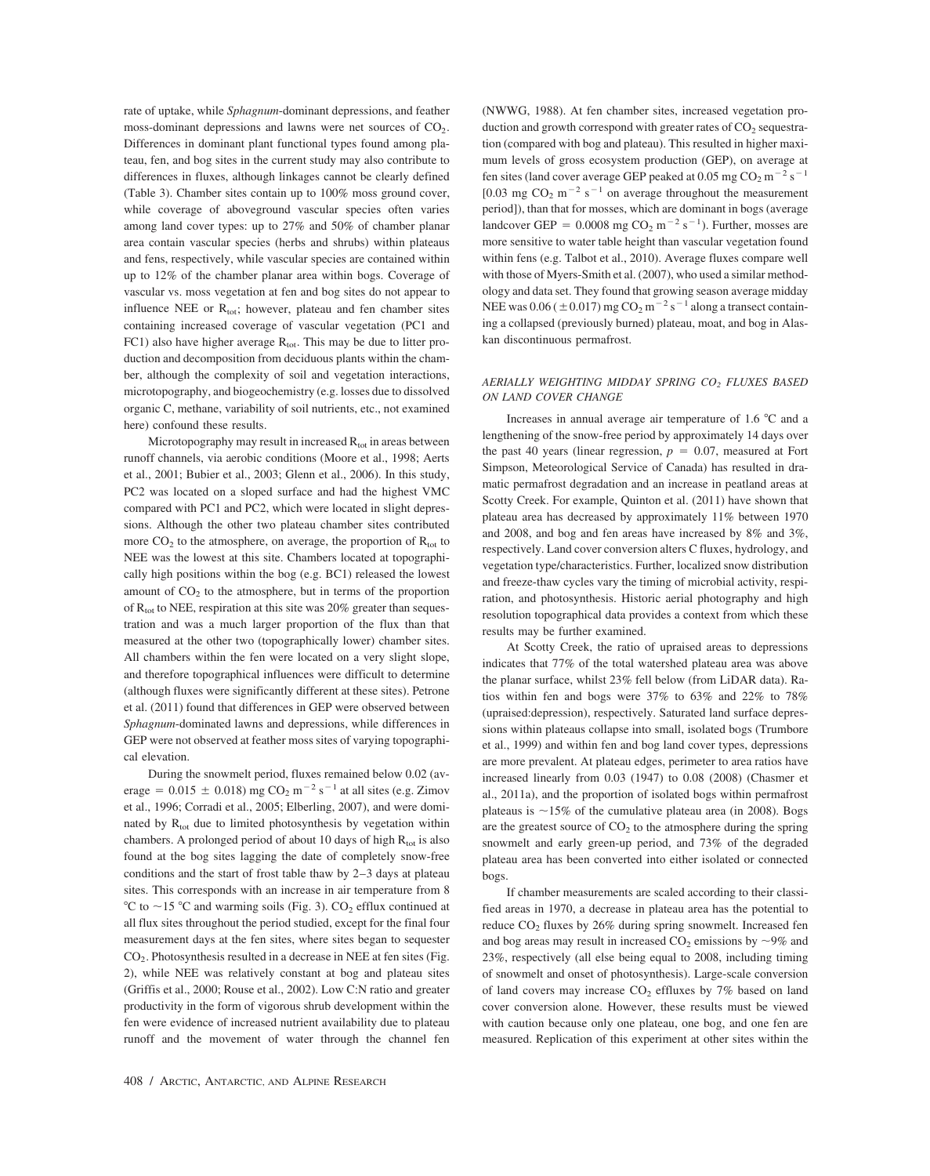rate of uptake, while *Sphagnum*-dominant depressions, and feather moss-dominant depressions and lawns were net sources of  $CO<sub>2</sub>$ . Differences in dominant plant functional types found among plateau, fen, and bog sites in the current study may also contribute to differences in fluxes, although linkages cannot be clearly defined (Table 3). Chamber sites contain up to 100% moss ground cover, while coverage of aboveground vascular species often varies among land cover types: up to 27% and 50% of chamber planar area contain vascular species (herbs and shrubs) within plateaus and fens, respectively, while vascular species are contained within up to 12% of the chamber planar area within bogs. Coverage of vascular vs. moss vegetation at fen and bog sites do not appear to influence NEE or  $R_{\text{tot}}$ ; however, plateau and fen chamber sites containing increased coverage of vascular vegetation (PC1 and FC1) also have higher average  $R_{\text{tot}}$ . This may be due to litter production and decomposition from deciduous plants within the chamber, although the complexity of soil and vegetation interactions, microtopography, and biogeochemistry (e.g. losses due to dissolved organic C, methane, variability of soil nutrients, etc., not examined here) confound these results.

Microtopography may result in increased  $R_{\text{tot}}$  in areas between runoff channels, via aerobic conditions (Moore et al., 1998; Aerts et al., 2001; Bubier et al., 2003; Glenn et al., 2006). In this study, PC2 was located on a sloped surface and had the highest VMC compared with PC1 and PC2, which were located in slight depressions. Although the other two plateau chamber sites contributed more  $CO<sub>2</sub>$  to the atmosphere, on average, the proportion of  $R<sub>tot</sub>$  to NEE was the lowest at this site. Chambers located at topographically high positions within the bog (e.g. BC1) released the lowest amount of  $CO<sub>2</sub>$  to the atmosphere, but in terms of the proportion of  $R_{\text{tot}}$  to NEE, respiration at this site was 20% greater than sequestration and was a much larger proportion of the flux than that measured at the other two (topographically lower) chamber sites. All chambers within the fen were located on a very slight slope, and therefore topographical influences were difficult to determine (although fluxes were significantly different at these sites). Petrone et al. (2011) found that differences in GEP were observed between *Sphagnum*-dominated lawns and depressions, while differences in GEP were not observed at feather moss sites of varying topographical elevation.

During the snowmelt period, fluxes remained below 0.02 (average =  $0.015 \pm 0.018$ ) mg CO<sub>2</sub> m<sup>-2</sup> s<sup>-1</sup> at all sites (e.g. Zimov et al., 1996; Corradi et al., 2005; Elberling, 2007), and were dominated by  $R_{tot}$  due to limited photosynthesis by vegetation within chambers. A prolonged period of about 10 days of high  $R_{\text{tot}}$  is also found at the bog sites lagging the date of completely snow-free conditions and the start of frost table thaw by 2–3 days at plateau sites. This corresponds with an increase in air temperature from 8 °C to  $\sim$  15 °C and warming soils (Fig. 3). CO<sub>2</sub> efflux continued at all flux sites throughout the period studied, except for the final four measurement days at the fen sites, where sites began to sequester  $CO<sub>2</sub>$ . Photosynthesis resulted in a decrease in NEE at fen sites (Fig. 2), while NEE was relatively constant at bog and plateau sites (Griffis et al., 2000; Rouse et al., 2002). Low C:N ratio and greater productivity in the form of vigorous shrub development within the fen were evidence of increased nutrient availability due to plateau runoff and the movement of water through the channel fen (NWWG, 1988). At fen chamber sites, increased vegetation production and growth correspond with greater rates of  $CO<sub>2</sub>$  sequestration (compared with bog and plateau). This resulted in higher maximum levels of gross ecosystem production (GEP), on average at fen sites (land cover average GEP peaked at 0.05 mg CO<sub>2</sub> m<sup>-2</sup> s<sup>-1</sup> [0.03 mg  $CO_2$  m<sup>-2</sup> s<sup>-1</sup> on average throughout the measurement period]), than that for mosses, which are dominant in bogs (average landcover GEP =  $0.0008$  mg CO<sub>2</sub> m<sup>-2</sup> s<sup>-1</sup>). Further, mosses are more sensitive to water table height than vascular vegetation found within fens (e.g. Talbot et al., 2010). Average fluxes compare well with those of Myers-Smith et al. (2007), who used a similar methodology and data set. They found that growing season average midday NEE was  $0.06$  (  $\pm$  0.017) mg CO<sub>2</sub> m<sup>-2</sup> s<sup>-1</sup> along a transect containing a collapsed (previously burned) plateau, moat, and bog in Alaskan discontinuous permafrost.

### *AERIALLY WEIGHTING MIDDAY SPRING CO2 FLUXES BASED ON LAND COVER CHANGE*

Increases in annual average air temperature of  $1.6 \degree C$  and a lengthening of the snow-free period by approximately 14 days over the past 40 years (linear regression,  $p = 0.07$ , measured at Fort Simpson, Meteorological Service of Canada) has resulted in dramatic permafrost degradation and an increase in peatland areas at Scotty Creek. For example, Quinton et al. (2011) have shown that plateau area has decreased by approximately 11% between 1970 and 2008, and bog and fen areas have increased by 8% and 3%, respectively. Land cover conversion alters C fluxes, hydrology, and vegetation type/characteristics. Further, localized snow distribution and freeze-thaw cycles vary the timing of microbial activity, respiration, and photosynthesis. Historic aerial photography and high resolution topographical data provides a context from which these results may be further examined.

At Scotty Creek, the ratio of upraised areas to depressions indicates that 77% of the total watershed plateau area was above the planar surface, whilst 23% fell below (from LiDAR data). Ratios within fen and bogs were 37% to 63% and 22% to 78% (upraised:depression), respectively. Saturated land surface depressions within plateaus collapse into small, isolated bogs (Trumbore et al., 1999) and within fen and bog land cover types, depressions are more prevalent. At plateau edges, perimeter to area ratios have increased linearly from 0.03 (1947) to 0.08 (2008) (Chasmer et al., 2011a), and the proportion of isolated bogs within permafrost plateaus is  $\sim$ 15% of the cumulative plateau area (in 2008). Bogs are the greatest source of  $CO<sub>2</sub>$  to the atmosphere during the spring snowmelt and early green-up period, and 73% of the degraded plateau area has been converted into either isolated or connected bogs.

If chamber measurements are scaled according to their classified areas in 1970, a decrease in plateau area has the potential to reduce  $CO<sub>2</sub>$  fluxes by 26% during spring snowmelt. Increased fen and bog areas may result in increased  $CO_2$  emissions by  $\sim$ 9% and 23%, respectively (all else being equal to 2008, including timing of snowmelt and onset of photosynthesis). Large-scale conversion of land covers may increase  $CO<sub>2</sub>$  effluxes by 7% based on land cover conversion alone. However, these results must be viewed with caution because only one plateau, one bog, and one fen are measured. Replication of this experiment at other sites within the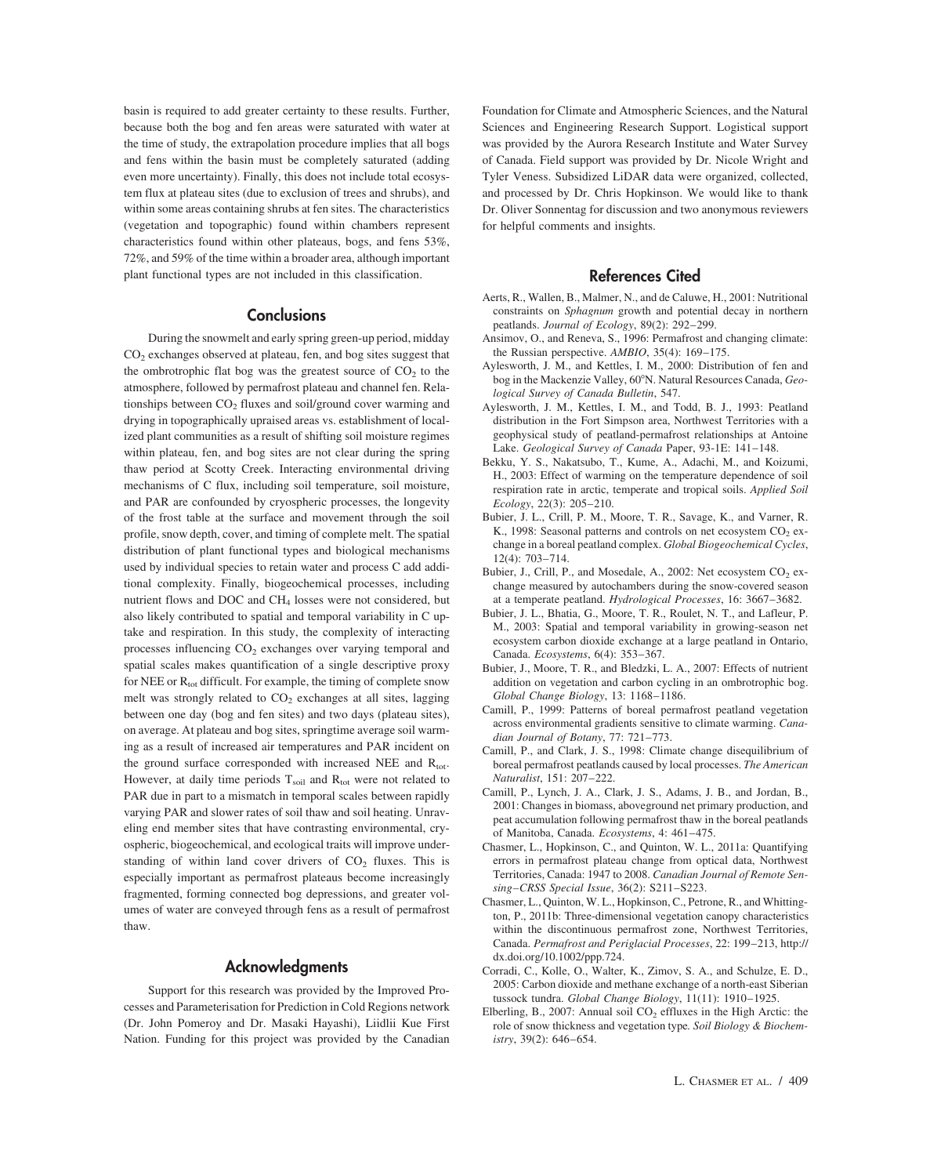basin is required to add greater certainty to these results. Further, because both the bog and fen areas were saturated with water at the time of study, the extrapolation procedure implies that all bogs and fens within the basin must be completely saturated (adding even more uncertainty). Finally, this does not include total ecosystem flux at plateau sites (due to exclusion of trees and shrubs), and within some areas containing shrubs at fen sites. The characteristics (vegetation and topographic) found within chambers represent characteristics found within other plateaus, bogs, and fens 53%, 72%, and 59% of the time within a broader area, although important plant functional types are not included in this classification.

## **Conclusions**

During the snowmelt and early spring green-up period, midday CO2 exchanges observed at plateau, fen, and bog sites suggest that the ombrotrophic flat bog was the greatest source of  $CO<sub>2</sub>$  to the atmosphere, followed by permafrost plateau and channel fen. Relationships between  $CO<sub>2</sub>$  fluxes and soil/ground cover warming and drying in topographically upraised areas vs. establishment of localized plant communities as a result of shifting soil moisture regimes within plateau, fen, and bog sites are not clear during the spring thaw period at Scotty Creek. Interacting environmental driving mechanisms of C flux, including soil temperature, soil moisture, and PAR are confounded by cryospheric processes, the longevity of the frost table at the surface and movement through the soil profile, snow depth, cover, and timing of complete melt. The spatial distribution of plant functional types and biological mechanisms used by individual species to retain water and process C add additional complexity. Finally, biogeochemical processes, including nutrient flows and DOC and CH<sub>4</sub> losses were not considered, but also likely contributed to spatial and temporal variability in C uptake and respiration. In this study, the complexity of interacting processes influencing  $CO<sub>2</sub>$  exchanges over varying temporal and spatial scales makes quantification of a single descriptive proxy for NEE or  $R_{tot}$  difficult. For example, the timing of complete snow melt was strongly related to  $CO<sub>2</sub>$  exchanges at all sites, lagging between one day (bog and fen sites) and two days (plateau sites), on average. At plateau and bog sites, springtime average soil warming as a result of increased air temperatures and PAR incident on the ground surface corresponded with increased NEE and  $R_{tot}$ . However, at daily time periods  $T_{\text{solid}}$  and  $R_{\text{tot}}$  were not related to PAR due in part to a mismatch in temporal scales between rapidly varying PAR and slower rates of soil thaw and soil heating. Unraveling end member sites that have contrasting environmental, cryospheric, biogeochemical, and ecological traits will improve understanding of within land cover drivers of  $CO<sub>2</sub>$  fluxes. This is especially important as permafrost plateaus become increasingly fragmented, forming connected bog depressions, and greater volumes of water are conveyed through fens as a result of permafrost thaw.

# **Acknowledgments**

Support for this research was provided by the Improved Processes and Parameterisation for Prediction in Cold Regions network (Dr. John Pomeroy and Dr. Masaki Hayashi), Liidlii Kue First Nation. Funding for this project was provided by the Canadian Foundation for Climate and Atmospheric Sciences, and the Natural Sciences and Engineering Research Support. Logistical support was provided by the Aurora Research Institute and Water Survey of Canada. Field support was provided by Dr. Nicole Wright and Tyler Veness. Subsidized LiDAR data were organized, collected, and processed by Dr. Chris Hopkinson. We would like to thank Dr. Oliver Sonnentag for discussion and two anonymous reviewers for helpful comments and insights.

# **References Cited**

- Aerts, R., Wallen, B., Malmer, N., and de Caluwe, H., 2001: Nutritional constraints on *Sphagnum* growth and potential decay in northern peatlands. *Journal of Ecology*, 89(2): 292–299.
- Ansimov, O., and Reneva, S., 1996: Permafrost and changing climate: the Russian perspective. *AMBIO*, 35(4): 169–175.
- Aylesworth, J. M., and Kettles, I. M., 2000: Distribution of fen and bog in the Mackenzie Valley, 60°N. Natural Resources Canada, Geo*logical Survey of Canada Bulletin*, 547.
- Aylesworth, J. M., Kettles, I. M., and Todd, B. J., 1993: Peatland distribution in the Fort Simpson area, Northwest Territories with a geophysical study of peatland-permafrost relationships at Antoine Lake. *Geological Survey of Canada* Paper, 93-1E: 141–148.
- Bekku, Y. S., Nakatsubo, T., Kume, A., Adachi, M., and Koizumi, H., 2003: Effect of warming on the temperature dependence of soil respiration rate in arctic, temperate and tropical soils. *Applied Soil Ecology*, 22(3): 205–210.
- Bubier, J. L., Crill, P. M., Moore, T. R., Savage, K., and Varner, R. K., 1998: Seasonal patterns and controls on net ecosystem  $CO<sub>2</sub>$  exchange in a boreal peatland complex. *Global Biogeochemical Cycles*, 12(4): 703–714.
- Bubier, J., Crill, P., and Mosedale, A., 2002: Net ecosystem  $CO<sub>2</sub>$  exchange measured by autochambers during the snow-covered season at a temperate peatland. *Hydrological Processes*, 16: 3667–3682.
- Bubier, J. L., Bhatia, G., Moore, T. R., Roulet, N. T., and Lafleur, P. M., 2003: Spatial and temporal variability in growing-season net ecosystem carbon dioxide exchange at a large peatland in Ontario, Canada. *Ecosystems*, 6(4): 353–367.
- Bubier, J., Moore, T. R., and Bledzki, L. A., 2007: Effects of nutrient addition on vegetation and carbon cycling in an ombrotrophic bog. *Global Change Biology*, 13: 1168–1186.
- Camill, P., 1999: Patterns of boreal permafrost peatland vegetation across environmental gradients sensitive to climate warming. *Canadian Journal of Botany*, 77: 721–773.
- Camill, P., and Clark, J. S., 1998: Climate change disequilibrium of boreal permafrost peatlands caused by local processes. *The American Naturalist*, 151: 207–222.
- Camill, P., Lynch, J. A., Clark, J. S., Adams, J. B., and Jordan, B., 2001: Changes in biomass, aboveground net primary production, and peat accumulation following permafrost thaw in the boreal peatlands of Manitoba, Canada. *Ecosystems*, 4: 461–475.
- Chasmer, L., Hopkinson, C., and Quinton, W. L., 2011a: Quantifying errors in permafrost plateau change from optical data, Northwest Territories, Canada: 1947 to 2008. *Canadian Journal of Remote Sensing–CRSS Special Issue*, 36(2): S211–S223.
- Chasmer, L., Quinton, W. L., Hopkinson, C., Petrone, R., and Whittington, P., 2011b: Three-dimensional vegetation canopy characteristics within the discontinuous permafrost zone, Northwest Territories, Canada. *Permafrost and Periglacial Processes*, 22: 199–213, http:// dx.doi.org/10.1002/ppp.724.
- Corradi, C., Kolle, O., Walter, K., Zimov, S. A., and Schulze, E. D., 2005: Carbon dioxide and methane exchange of a north-east Siberian tussock tundra. *Global Change Biology*, 11(11): 1910–1925.
- Elberling, B., 2007: Annual soil  $CO<sub>2</sub>$  effluxes in the High Arctic: the role of snow thickness and vegetation type*. Soil Biology & Biochemistry*, 39(2): 646–654.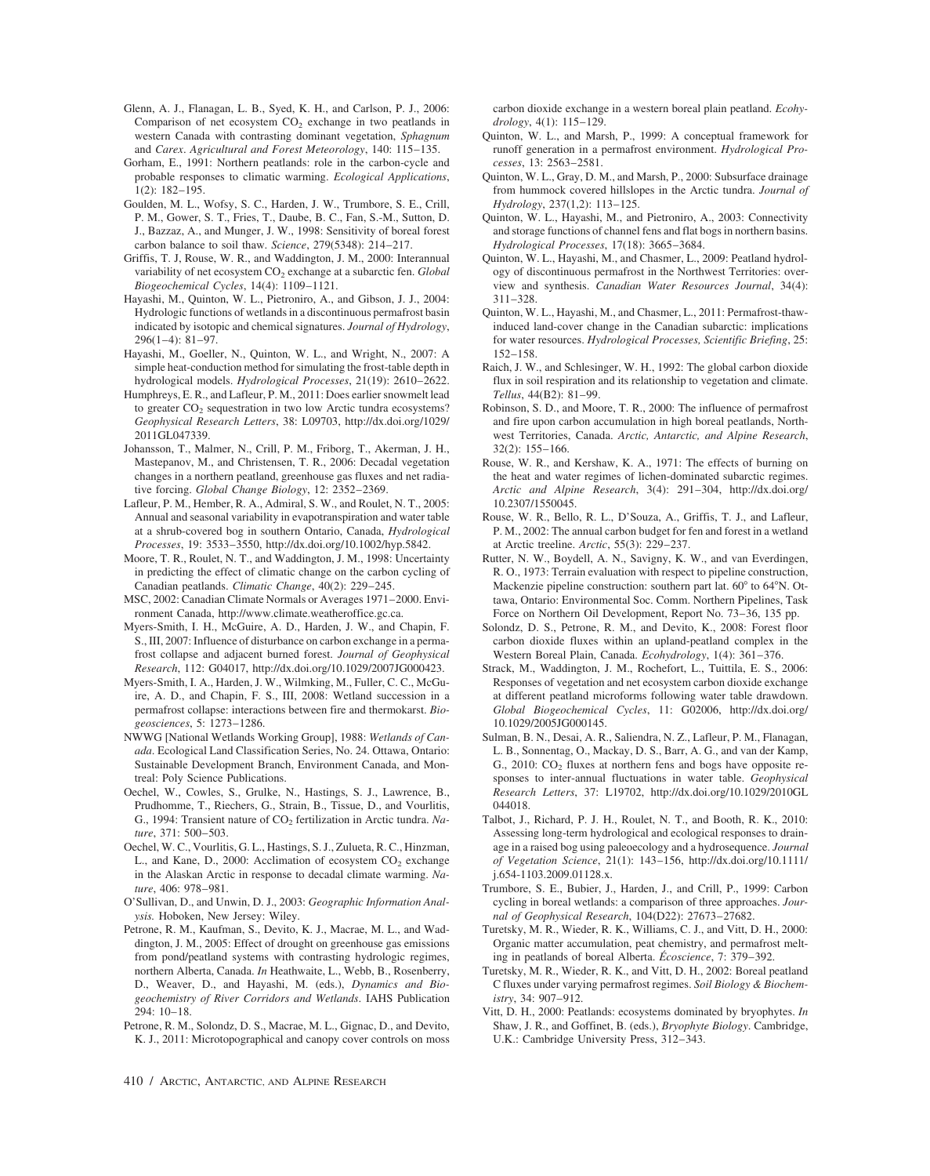- Glenn, A. J., Flanagan, L. B., Syed, K. H., and Carlson, P. J., 2006: Comparison of net ecosystem  $CO<sub>2</sub>$  exchange in two peatlands in western Canada with contrasting dominant vegetation, *Sphagnum* and *Carex*. *Agricultural and Forest Meteorology*, 140: 115–135.
- Gorham, E., 1991: Northern peatlands: role in the carbon-cycle and probable responses to climatic warming. *Ecological Applications*, 1(2): 182–195.
- Goulden, M. L., Wofsy, S. C., Harden, J. W., Trumbore, S. E., Crill, P. M., Gower, S. T., Fries, T., Daube, B. C., Fan, S.-M., Sutton, D. J., Bazzaz, A., and Munger, J. W., 1998: Sensitivity of boreal forest carbon balance to soil thaw. *Science*, 279(5348): 214–217.
- Griffis, T. J, Rouse, W. R., and Waddington, J. M., 2000: Interannual variability of net ecosystem CO2 exchange at a subarctic fen. *Global Biogeochemical Cycles*, 14(4): 1109–1121.
- Hayashi, M., Quinton, W. L., Pietroniro, A., and Gibson, J. J., 2004: Hydrologic functions of wetlands in a discontinuous permafrost basin indicated by isotopic and chemical signatures. *Journal of Hydrology*, 296(1–4): 81–97.
- Hayashi, M., Goeller, N., Quinton, W. L., and Wright, N., 2007: A simple heat-conduction method for simulating the frost-table depth in hydrological models. *Hydrological Processes*, 21(19): 2610–2622.
- Humphreys, E. R., and Lafleur, P. M., 2011: Does earlier snowmelt lead to greater  $CO<sub>2</sub>$  sequestration in two low Arctic tundra ecosystems? *Geophysical Research Letters*, 38: L09703, http://dx.doi.org/1029/ 2011GL047339.
- Johansson, T., Malmer, N., Crill, P. M., Friborg, T., Akerman, J. H., Mastepanov, M., and Christensen, T. R., 2006: Decadal vegetation changes in a northern peatland, greenhouse gas fluxes and net radiative forcing. *Global Change Biology*, 12: 2352–2369.
- Lafleur, P. M., Hember, R. A., Admiral, S. W., and Roulet, N. T., 2005: Annual and seasonal variability in evapotranspiration and water table at a shrub-covered bog in southern Ontario, Canada, *Hydrological Processes*, 19: 3533–3550, http://dx.doi.org/10.1002/hyp.5842.
- Moore, T. R., Roulet, N. T., and Waddington, J. M., 1998: Uncertainty in predicting the effect of climatic change on the carbon cycling of Canadian peatlands. *Climatic Change*, 40(2): 229–245.
- MSC, 2002: Canadian Climate Normals or Averages 1971–2000. Environment Canada, http://www.climate.weatheroffice.gc.ca.
- Myers-Smith, I. H., McGuire, A. D., Harden, J. W., and Chapin, F. S., III, 2007: Influence of disturbance on carbon exchange in a permafrost collapse and adjacent burned forest. *Journal of Geophysical Research*, 112: G04017, http://dx.doi.org/10.1029/2007JG000423.
- Myers-Smith, I. A., Harden, J. W., Wilmking, M., Fuller, C. C., McGuire, A. D., and Chapin, F. S., III, 2008: Wetland succession in a permafrost collapse: interactions between fire and thermokarst. *Biogeosciences*, 5: 1273–1286.
- NWWG [National Wetlands Working Group], 1988: *Wetlands of Canada*. Ecological Land Classification Series, No. 24. Ottawa, Ontario: Sustainable Development Branch, Environment Canada, and Montreal: Poly Science Publications.
- Oechel, W., Cowles, S., Grulke, N., Hastings, S. J., Lawrence, B., Prudhomme, T., Riechers, G., Strain, B., Tissue, D., and Vourlitis, G., 1994: Transient nature of CO<sub>2</sub> fertilization in Arctic tundra. Na*ture*, 371: 500–503.
- Oechel, W. C., Vourlitis, G. L., Hastings, S. J., Zulueta, R. C., Hinzman, L., and Kane, D., 2000: Acclimation of ecosystem  $CO<sub>2</sub>$  exchange in the Alaskan Arctic in response to decadal climate warming. *Nature*, 406: 978–981.
- O'Sullivan, D., and Unwin, D. J., 2003: *Geographic Information Analysis.* Hoboken, New Jersey: Wiley.
- Petrone, R. M., Kaufman, S., Devito, K. J., Macrae, M. L., and Waddington, J. M., 2005: Effect of drought on greenhouse gas emissions from pond/peatland systems with contrasting hydrologic regimes, northern Alberta, Canada. *In* Heathwaite, L., Webb, B., Rosenberry, D., Weaver, D., and Hayashi, M. (eds.), *Dynamics and Biogeochemistry of River Corridors and Wetlands*. IAHS Publication 294: 10–18.
- Petrone, R. M., Solondz, D. S., Macrae, M. L., Gignac, D., and Devito, K. J., 2011: Microtopographical and canopy cover controls on moss

carbon dioxide exchange in a western boreal plain peatland. *Ecohydrology*, 4(1): 115–129.

- Quinton, W. L., and Marsh, P., 1999: A conceptual framework for runoff generation in a permafrost environment. *Hydrological Processes*, 13: 2563–2581.
- Quinton, W. L., Gray, D. M., and Marsh, P., 2000: Subsurface drainage from hummock covered hillslopes in the Arctic tundra. *Journal of Hydrology*, 237(1,2): 113–125.
- Quinton, W. L., Hayashi, M., and Pietroniro, A., 2003: Connectivity and storage functions of channel fens and flat bogs in northern basins. *Hydrological Processes*, 17(18): 3665–3684.
- Quinton, W. L., Hayashi, M., and Chasmer, L., 2009: Peatland hydrology of discontinuous permafrost in the Northwest Territories: overview and synthesis. *Canadian Water Resources Journal*, 34(4): 311–328.
- Quinton, W. L., Hayashi, M., and Chasmer, L., 2011: Permafrost-thawinduced land-cover change in the Canadian subarctic: implications for water resources. *Hydrological Processes, Scientific Briefing*, 25: 152–158.
- Raich, J. W., and Schlesinger, W. H., 1992: The global carbon dioxide flux in soil respiration and its relationship to vegetation and climate. *Tellus*, 44(B2): 81–99.
- Robinson, S. D., and Moore, T. R., 2000: The influence of permafrost and fire upon carbon accumulation in high boreal peatlands, Northwest Territories, Canada. *Arctic, Antarctic, and Alpine Research*, 32(2): 155–166.
- Rouse, W. R., and Kershaw, K. A., 1971: The effects of burning on the heat and water regimes of lichen-dominated subarctic regimes. *Arctic and Alpine Research*, 3(4): 291–304, http://dx.doi.org/ 10.2307/1550045.
- Rouse, W. R., Bello, R. L., D'Souza, A., Griffis, T. J., and Lafleur, P. M., 2002: The annual carbon budget for fen and forest in a wetland at Arctic treeline. *Arctic*, 55(3): 229–237.
- Rutter, N. W., Boydell, A. N., Savigny, K. W., and van Everdingen, R. O., 1973: Terrain evaluation with respect to pipeline construction, Mackenzie pipeline construction: southern part lat. 60° to 64°N. Ottawa, Ontario: Environmental Soc. Comm. Northern Pipelines, Task Force on Northern Oil Development, Report No. 73–36, 135 pp.
- Solondz, D. S., Petrone, R. M., and Devito, K., 2008: Forest floor carbon dioxide fluxes within an upland-peatland complex in the Western Boreal Plain, Canada. *Ecohydrology*, 1(4): 361–376.
- Strack, M., Waddington, J. M., Rochefort, L., Tuittila, E. S., 2006: Responses of vegetation and net ecosystem carbon dioxide exchange at different peatland microforms following water table drawdown. *Global Biogeochemical Cycles*, 11: G02006, http://dx.doi.org/ 10.1029/2005JG000145.
- Sulman, B. N., Desai, A. R., Saliendra, N. Z., Lafleur, P. M., Flanagan, L. B., Sonnentag, O., Mackay, D. S., Barr, A. G., and van der Kamp, G., 2010:  $CO<sub>2</sub>$  fluxes at northern fens and bogs have opposite responses to inter-annual fluctuations in water table. *Geophysical Research Letters*, 37: L19702, http://dx.doi.org/10.1029/2010GL 044018.
- Talbot, J., Richard, P. J. H., Roulet, N. T., and Booth, R. K., 2010: Assessing long-term hydrological and ecological responses to drainage in a raised bog using paleoecology and a hydrosequence. *Journal of Vegetation Science*, 21(1): 143–156, http://dx.doi.org/10.1111/ j.654-1103.2009.01128.x.
- Trumbore, S. E., Bubier, J., Harden, J., and Crill, P., 1999: Carbon cycling in boreal wetlands: a comparison of three approaches. *Journal of Geophysical Research*, 104(D22): 27673–27682.
- Turetsky, M. R., Wieder, R. K., Williams, C. J., and Vitt, D. H., 2000: Organic matter accumulation, peat chemistry, and permafrost melting in peatlands of boreal Alberta. *Écoscience*, 7: 379–392.
- Turetsky, M. R., Wieder, R. K., and Vitt, D. H., 2002: Boreal peatland C fluxes under varying permafrost regimes. *Soil Biology & Biochemistry*, 34: 907–912.
- Vitt, D. H., 2000: Peatlands: ecosystems dominated by bryophytes. *In* Shaw, J. R., and Goffinet, B. (eds.), *Bryophyte Biology*. Cambridge, U.K.: Cambridge University Press, 312–343.